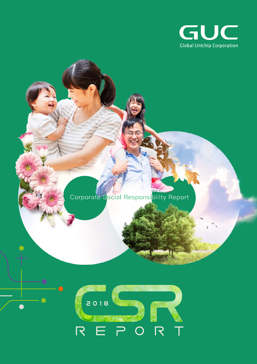

# Corporate Social Responsibility Report



 $\bullet$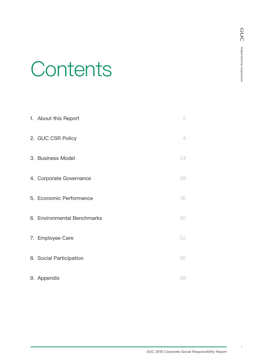# **Contents**

| 1. About this Report        | $\overline{2}$ |
|-----------------------------|----------------|
| 2. GUC CSR Policy           | $\overline{4}$ |
| 3. Business Model           | 24             |
| 4. Corporate Governance     | 28             |
| 5. Economic Performance     | 36             |
| 6. Environmental Benchmarks | 40             |
| 7. Employee Care            | 52             |
| 8. Social Participation     | 66             |
| 9. Appendix                 | 68             |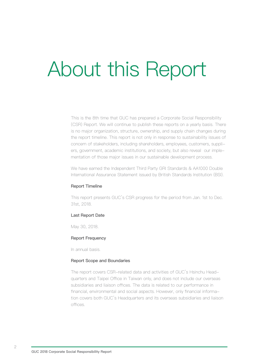# About this Report

This is the 8th time that GUC has prepared a Corporate Social Responsibility (CSR) Report. We will continue to publish these reports on a yearly basis. There is no major organization, structure, ownership, and supply chain changes during the report timeline. This report is not only in response to sustainability issues of concern of stakeholders, including shareholders, employees, customers, suppliers, government, academic institutions, and society, but also reveal our implementation of those major issues in our sustainable development process.

We have earned the Independent Third Party GRI Standards & AA1000 Double International Assurance Statement issued by British Standards Institution (BSI).

#### Report Timeline

This report presents GUC's CSR progress for the period from Jan. 1st to Dec. 31st, 2018.

#### Last Report Date

May 30, 2018.

#### Report Frequency

In annual basis.

# Report Scope and Boundaries

The report covers CSR-related data and activities of GUC's Hsinchu Headquarters and Taipei Office in Taiwan only, and does not include our overseas subsidiaries and liaison offices. The data is related to our performance in financial, environmental and social aspects. However, only financial information covers both GUC's Headquarters and its overseas subsidiaries and liaison offices.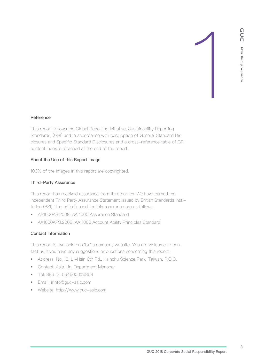#### **Reference**

This report follows the Global Reporting Initiative, Sustainability Reporting Standards, (GRI) and in accordance with core option of General Standard Disclosures and Specific Standard Disclosures and a cross-reference table of GRI content index is attached at the end of the report.

#### About the Use of this Report Image

100% of the images in this report are copyrighted.

#### Third-Party Assurance

This report has received assurance from third parties. We have earned the Independent Third Party Assurance Statement issued by British Standards Institution (BSI). The criteria used for this assurance are as follows:

- AA1000AS:2008: AA 1000 Assurance Standard
- AA1000APS:2008: AA 1000 Account Ability Principles Standard

#### Contact Information

This report is available on GUC's company website. You are welcome to contact us if you have any suggestions or questions concerning this report:

- Address: No. 10, Li-Hsin 6th Rd., Hsinchu Science Park, Taiwan, R.O.C.
- Contact: Asia Lin, Department Manager
- Tel: 886-3-5646600#6868
- Email: irinfo@guc-asic.com
- Website: http://www.guc-asic.com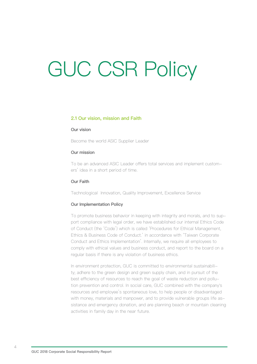# GUC CSR Policy

#### **2.1 Our vision, mission and Faith**

#### Our vision

Become the world ASIC Supplier Leader

#### Our mission

To be an advanced ASIC Leader offers total services and implement customers' idea in a short period of time.

#### Our Faith

Technological Innovation, Quality Improvement, Excellence Service

#### Our Implementation Policy

To promote business behavior in keeping with integrity and morals, and to support compliance with legal order, we have established our internal Ethics Code of Conduct (the 'Code') which is called 'Procedures for Ethical Management, Ethics & Business Code of Conduct.' in accordance with 'Taiwan Corporate Conduct and Ethics Implementation'. Internally, we require all employees to comply with ethical values and business conduct, and report to the board on a regular basis if there is any violation of business ethics.

In environment protection, GUC is committed to environmental sustainability; adhere to the green design and green supply chain, and in pursuit of the best efficiency of resources to reach the goal of waste reduction and pollution prevention and control. In social care, GUC combined with the company's resources and employee's spontaneous love, to help people or disadvantaged with money, materials and manpower, and to provide vulnerable groups life assistance and emergency donation, and are planning beach or mountain cleaning activities in family day in the near future.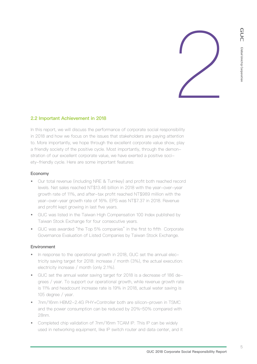

# **2.2 Important Achievement in 2018**

In this report, we will discuss the performance of corporate social responsibility in 2018 and how we focus on the issues that stakeholders are paying attention to. More importantly, we hope through the excellent corporate value show, play a friendly society of the positive cycle. Most importantly, through the demonstration of our excellent corporate value, we have exerted a positive society-friendly cycle. Here are some important features:

#### Economy

- Our total revenue (including NRE & Turnkey) and profit both reached record levels. Net sales reached NT\$13.46 billion in 2018 with the year-over-year growth rate of 11%, and after-tax profit reached NT\$989 million with the year-over-year growth rate of 16%. EPS was NT\$7.37 in 2018. Revenue and profit kept growing in last five years.
- GUC was listed in the Taiwan High Compensation 100 Index published by Taiwan Stock Exchange for four consecutive years.
- GUC was awarded "the Top 5% companies" in the first to fifth Corporate Governance Evaluation of Listed Companies by Taiwan Stock Exchange.

# Environment

- In response to the operational growth in 2018, GUC set the annual electricity saving target for 2018: increase / month (3%), the actual execution: electricity increase / month (only 2.1%).
- GUC set the annual water saving target for 2018 is a decrease of 186 degrees / year. To support our operational growth, while revenue growth rate is 11% and headcount increase rate is 19% in 2018, actual water saving is 105 degree / year.
- 7nm/16nm HBM2-2.4G PHY+Controller both are silicon-proven in TSMC and the power consumption can be reduced by 20%~50% compared with 28nm.
- Completed chip validation of 7nm/16nm TCAM IP. This IP can be widely used in networking equipment, like IP switch router and data center, and it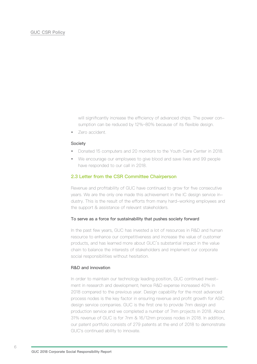will significantly increase the efficiency of advanced chips. The power consumption can be reduced by 12%~80% because of its flexible design.

• Zero accident.

#### **Society**

- Donated 15 computers and 20 monitors to the Youth Care Center in 2018.
- We encourage our employees to give blood and save lives and 99 people have responded to our call in 2018.

#### **2.3 Letter from the CSR Committee Chairperson**

Revenue and profitability of GUC have continued to grow for five consecutive years. We are the only one made this achievement in the IC design service industry. This is the result of the efforts from many hard-working employees and the support & assistance of relevant stakeholders.

#### To serve as a force for sustainability that pushes society forward

In the past few years, GUC has invested a lot of resources in R&D and human resource to enhance our competitiveness and increase the value of customer products, and has learned more about GUC's substantial impact in the value chain to balance the interests of stakeholders and implement our corporate social responsibilities without hesitation.

# R&D and innovation

In order to maintain our technology leading position, GUC continued investment in research and development; hence R&D expense increased 40% in 2018 compared to the previous year. Design capability for the most advanced process nodes is the key factor in ensuring revenue and profit growth for ASIC design service companies. GUC is the first one to provide 7nm design and production service and we completed a number of 7nm projects in 2018. About 31% revenue of GUC is for 7nm & 16/12nm process nodes in 2018. In addition, our patent portfolio consists of 279 patents at the end of 2018 to demonstrate GUC's continued ability to innovate.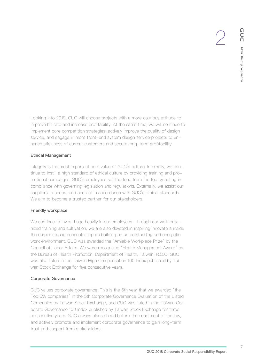Looking into 2019, GUC will choose projects with a more cautious attitude to improve hit rate and increase profitability. At the same time, we will continue to implement core competition strategies, actively improve the quality of design service, and engage in more front-end system design service projects to enhance stickiness of current customers and secure long-term profitability.

# Ethical Management

Integrity is the most important core value of GUC's culture. Internally, we continue to instill a high standard of ethical culture by providing training and promotional campaigns. GUC's employees set the tone from the top by acting in compliance with governing legislation and regulations. Externally, we assist our suppliers to understand and act in accordance with GUC's ethical standards. We aim to become a trusted partner for our stakeholders.

# Friendly workplace

We continue to invest huge heavily in our employees. Through our well-organized training and cultivation, we are also devoted in inspiring innovators inside the corporate and concentrating on building up an outstanding and energetic work environment. GUC was awarded the "Amiable Workplace Prize" by the Council of Labor Affairs. We were recognized "Health Management Award" by the Bureau of Health Promotion, Department of Health, Taiwan, R.O.C. GUC was also listed in the Taiwan High Compensation 100 Index published by Taiwan Stock Exchange for five consecutive years.

# Corporate Governance

GUC values corporate governance. This is the 5th year that we awarded "the Top 5% companies" in the 5th Corporate Governance Evaluation of the Listed Companies by Taiwan Stock Exchange, and GUC was listed in the Taiwan Corporate Governance 100 Index published by Taiwan Stock Exchange for three consecutive years. GUC always plans ahead before the enactment of the law, and actively promote and implement corporate governance to gain long-term trust and support from stakeholders.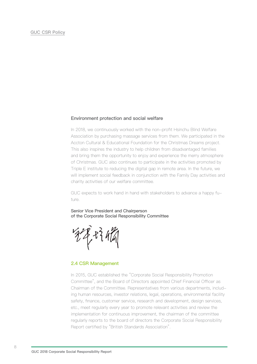#### **Environment protection and social welfare**

In 2018, we continuously worked with the non-profit Hsinchu Blind Welfare Association by purchasing massage services from them. We participated in the Accton Cultural & Educational Foundation for the Christmas Dreams project. This also inspires the industry to help children from disadvantaged families and bring them the opportunity to enjoy and experience the merry atmosphere of Christmas. GUC also continues to participate in the activities promoted by Triple E institute to reducing the digital gap in remote area. In the future, we will implement social feedback in conjunction with the Family Day activities and charity activities of our welfare committee.

GUC expects to work hand in hand with stakeholders to advance a happy future.

Senior Vice President and Chairperson of the Corporate Social Responsibility Committee

秘统

# **2.4 CSR Management**

In 2015, GUC established the "Corporate Social Responsibility Promotion Committee", and the Board of Directors appointed Chief Financial Officer as Chairman of the Committee. Representatives from various departments, including human resources, investor relations, legal, operations, environmental facility safety, finance, customer service, research and development, design services, etc., meet regularly every year to promote relevant activities and review the implementation for continuous improvement, the chairman of the committee regularly reports to the board of directors the Corporate Social Responsibility Report certified by "British Standards Association".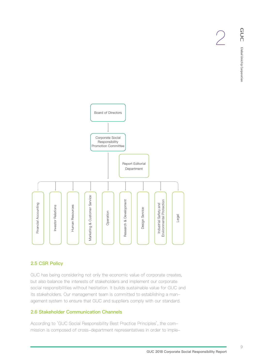

# **2.5 CSR Policy**

GUC has being considering not only the economic value of corporate creates, but also balance the interests of stakeholders and implement our corporate social responsibilities without hesitation. It builds sustainable value for GUC and its stakeholders. Our management team is committed to establishing a management system to ensure that GUC and suppliers comply with our standard.

# **2.6 Stakeholder Communication Channels**

According to 'GUC Social Responsibility Best Practice Principles', the commission is composed of cross-department representatives in order to imple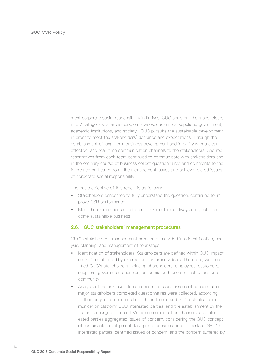ment corporate social responsibility initiatives. GUC sorts out the stakeholders into 7 categories: shareholders, employees, customers, suppliers, government, academic institutions, and society. GUC pursuits the sustainable development in order to meet the stakeholders' demands and expectations. Through the establishment of long-term business development and integrity with a clear, effective, and real-time communication channels to the stakeholders. And representatives from each team continued to communicate with stakeholders and in the ordinary course of business collect questionnaires and comments to the interested parties to do all the management issues and achieve related issues of corporate social responsibility.

The basic objective of this report is as follows:

- Stakeholders concerned to fully understand the question, continued to improve CSR performance.
- Meet the expectations of different stakeholders is always our goal to become sustainable business

# **2.6.1 GUC stakeholders' management procedures**

GUC's stakeholders' management procedure is divided into identification, analysis, planning, and management of four steps:

- Identification of stakeholders: Stakeholders are defined within GUC impact on GUC or affected by external groups or individuals. Therefore, we identified GUC's stakeholders including shareholders, employees, customers, suppliers, government agencies, academic and research institutions and community.
- Analysis of major stakeholders concerned issues: issues of concern after major stakeholders completed questionnaires were collected, according to their degree of concern about the influence and GUC establish communication platform GUC interested parties, and the establishment by the teams in charge of the unit Multiple communication channels, and interested parties aggregated issues of concern, considering the GUC concept of sustainable development, taking into consideration the surface GRI, 19 interested parties identified issues of concern, and the concern suffered by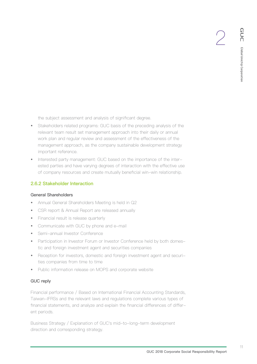the subject assessment and analysis of significant degree.

- Stakeholders related programs: GUC basis of the preceding analysis of the relevant team result set management approach into their daily or annual work plan and regular review and assessment of the effectiveness of the management approach, as the company sustainable development strategy important reference.
- Interested party management: GUC based on the importance of the interested parties and have varying degrees of interaction with the effective use of company resources and create mutually beneficial win-win relationship.

# **2.6.2 Stakeholder Interaction**

# General Shareholders

- Annual General Shareholders Meeting is held in Q2
- CSR report & Annual Report are released annually
- Financial result is release quarterly
- Communicate with GUC by phone and e-mail
- Semi-annual Investor Conference
- Participation in Investor Forum or Investor Conference held by both domestic and foreign investment agent and securities companies
- Reception for investors, domestic and foreign investment agent and securities companies from time to time
- Public information release on MOPS and corporate website

# GUC reply

Financial performance / Based on International Financial Accounting Standards, Taiwan-IFRSs and the relevant laws and regulations complete various types of financial statements, and analyze and explain the financial differences of different periods.

Business Strategy / Explanation of GUC's mid-to-long-term development direction and corresponding strategy.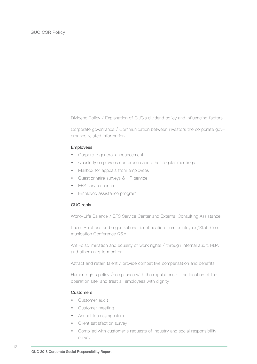Dividend Policy / Explanation of GUC's dividend policy and influencing factors.

Corporate governance / Communication between investors the corporate governance related information.

#### Employees

- Corporate general announcement
- Quarterly employees conference and other regular meetings
- Mailbox for appeals from employees
- Questionnaire surveys & HR service
- EFS service center
- Employee assistance program

#### GUC reply

Work-Life Balance / EFS Service Center and External Consulting Assistance

Labor Relations and organizational identification from employees/Staff Communication Conference Q&A

Anti-discrimination and equality of work rights / through internal audit, RBA and other units to monitor

Attract and retain talent / provide competitive compensation and benefits

Human rights policy /compliance with the regulations of the location of the operation site, and treat all employees with dignity

#### **Customers**

- Customer audit
- Customer meeting
- Annual tech symposium
- Client satisfaction survey
- Complied with customer's requests of industry and social responsibility survey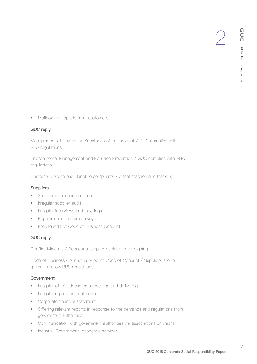• Mailbox for appeals from customers

# GUC reply

Management of Hazardous Substance of our product / GUC complies with RBA regulations

Environmental Management and Pollution Prevention / GUC complies with RBA regulations

Customer Service and Handling complaints / dissatisfaction and tracking

# **Suppliers**

- Supplier information platform
- Irregular supplier audit
- Irregular interviews and meetings
- Regular questionnaire surveys
- Propaganda of Code of Business Conduct

# GUC reply

Conflict Minerals / Request a supplier declaration or signing

Code of Business Conduct & Supplier Code of Conduct / Suppliers are required to follow RBS regulations

# **Government**

- Irregular official documents receiving and delivering
- Irregular regulation conference
- Corporate financial statement
- Offering relevant reports in response to the demands and regulations from government authorities
- Communication with government authorities via associations or unions
- Industry-Government-Academia seminar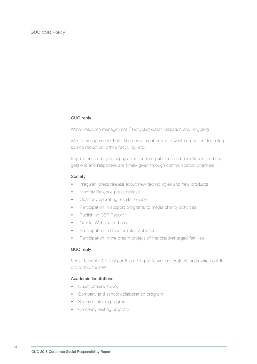# GUC reply

Water resource management / Recycled water utilization and recycling

Waste management/ Full-time department promote waste reduction, including source reduction, office recycling, etc.

Regulations and system/pay attention to regulations and compliance, and suggestions and responses are timely given through communication channels

#### Society

- Irregular press release about new technologies and new products
- Monthly Revenue press release
- Quarterly operating results release
- Participation in support programs to media charity activities
- Publishing CSR Report
- Official Website and email
- Participation in disaster relief activities
- Participation in the dream project of the disadvantaged families

#### GUC reply

Social benefit/ Actively participate in public welfare projects and make contribute to the society'

# Academic Institutions

- Questionnaire survey
- Company and school collaboration program
- Summer interim program
- Company visiting program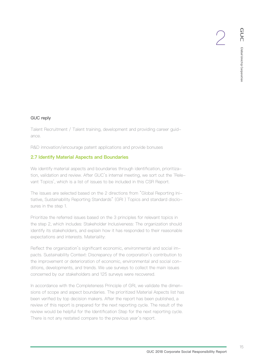# GUC reply

Talent Recruitment / Talent training, development and providing career guidance.

R&D innovation/encourage patent applications and provide bonuses

# **2.7 Identify Material Aspects and Boundaries**

We identify material aspects and boundaries through identification, prioritization, validation and review. After GUC's internal meeting, we sort out the 'Relevant Topics', which is a list of issues to be included in this CSR Report.

The issues are selected based on the 2 directions from "Global Reporting Initiative, Sustainability Reporting Standards" (GRI ) Topics and standard disclosures in the step 1.

Prioritize the referred issues based on the 3 principles for relevant topics in the step 2, which includes: Stakeholder Inclusiveness: The organization should identify its stakeholders, and explain how it has responded to their reasonable expectations and interests. Materiality:

Reflect the organization's significant economic, environmental and social impacts. Sustainability Context: Discrepancy of the corporation's contribution to the improvement or deterioration of economic, environmental and social conditions, developments, and trends. We use surveys to collect the main issues concerned by our stakeholders and 125 surveys were recovered.

In accordance with the Completeness Principle of GRI, we validate the dimensions of scope and aspect boundaries. The prioritized Material Aspects list has been verified by top decision makers. After the report has been published, a review of this report is prepared for the next reporting cycle. The result of the review would be helpful for the Identification Step for the next reporting cycle. There is not any restated compare to the previous year's report.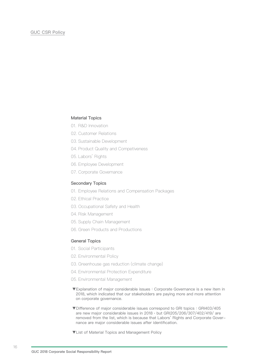# Material Topics

- 01. R&D Innovation
- 02. Customer Relations
- 03. Sustainable Development
- 04. Product Quality and Competiveness
- 05. Labors' Rights
- 06. Employee Development
- 07. Corporate Governance

#### Secondary Topics

- 01. Employee Relations and Compensation Packages
- 02. Ethical Practice
- 03. Occupational Safety and Health
- 04. Risk Management
- 05. Supply Chain Management
- 06. Green Products and Productions

# General Topics

- 01. Social Participants
- 02. Environmental Policy
- 03. Greenhouse gas reduction (climate change)
- 04. Environmental Protection Expenditure
- 05. Environmental Management
- ▼Explanation of major considerable issues:Corporate Governance is a new item in 2018, which indicated that our stakeholders are paying more and more attention on corporate governance.
- ▼Difference of major considerable issues correspond to GRI topics: GRI403/405 are new major considerable issues in 2018, but GRI205/206/307/402/419/ are removed from the list, which is because that Labors' Rights and Corporate Governance are major considerable issues after identification.
- ▼List of Material Topics and Management Policy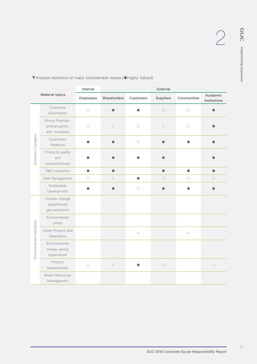|                          |                                                       | Internal            | External     |            |            |                     |                          |
|--------------------------|-------------------------------------------------------|---------------------|--------------|------------|------------|---------------------|--------------------------|
|                          | Material topics                                       | Employees           | Shareholders | Customers  | Suppliers  | Communities         | Academic<br>Institutions |
| Economic Category        | Corporate<br>Governance                               | $\circ$             |              |            | $\circ$    | $\circlearrowright$ |                          |
|                          | Ethical Practice:<br>anticorruption,<br>anti-monopoly | $\circ$             | $\bigcirc$   | $\bigcirc$ | $\bigcirc$ | $\bigcirc$          |                          |
|                          | Customers<br>Relations                                |                     |              | $\bigcirc$ |            |                     |                          |
|                          | Products quality<br>and<br>competitiveness            |                     |              |            |            |                     |                          |
|                          | R&D Innovation                                        | $\bullet$           | $\bullet$    |            | $\bullet$  | $\bullet$           | $\bullet$                |
|                          | Risk Management                                       | $\bigcirc$          | $\bigcirc$   | $\bullet$  | $\bigcirc$ | $\circlearrowright$ | 0                        |
|                          | Sustainable<br>Development                            |                     |              | $\bigcirc$ |            |                     |                          |
| Environmental Indicators | Climate Change<br>(greenhouse<br>gas reduction)       |                     |              |            |            |                     |                          |
|                          | Environmental<br>policy                               |                     |              |            |            |                     |                          |
|                          | Green Product and<br>Operations                       |                     |              | $\bigcirc$ |            | $\bigcirc$          |                          |
|                          | Environmental<br>energy saving<br>expenditure         |                     |              |            |            |                     |                          |
|                          | Product<br>Responsibility                             | $\circlearrowright$ | $\bigcirc$   |            | $\bigcirc$ |                     | $\bigcirc$               |
|                          | Water Resources<br>Management                         |                     |              |            |            |                     |                          |

▼Analysis statistics of major considerable issues.(●Highly Valued)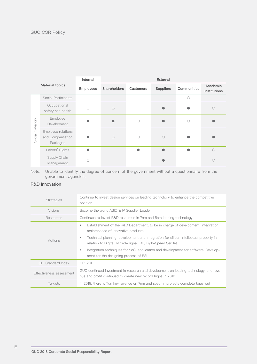# GUC CSR Policy

| Material topics |                                                    | Internal  | External            |                  |           |             |                          |
|-----------------|----------------------------------------------------|-----------|---------------------|------------------|-----------|-------------|--------------------------|
|                 |                                                    | Employees | <b>Shareholders</b> | <b>Customers</b> | Suppliers | Communities | Academic<br>Institutions |
|                 | Social Participants                                |           |                     |                  |           |             |                          |
| Social Category | Occupational<br>safety and health                  |           | $\bigcirc$          |                  |           |             |                          |
|                 | Employee<br>Development                            |           |                     | ()               |           | 0           |                          |
|                 | Employee relations<br>and Compensation<br>Packages |           | $\bigcirc$          |                  | C         |             |                          |
|                 | Labors' Rights                                     |           |                     |                  |           |             | $\bigcap$                |
|                 | Supply Chain<br>Management                         |           |                     |                  |           |             |                          |

Note: Unable to identify the degree of concern of the government without a questionnaire from the government agencies.

# R&D Innovation

| <b>Strategies</b>         | Continue to invest design services on leading technology to enhance the competitive<br>position.                                                       |
|---------------------------|--------------------------------------------------------------------------------------------------------------------------------------------------------|
| <b>Visions</b>            | Become the world ASIC & IP Supplier Leader                                                                                                             |
| Resources                 | Continues to invest R&D resources in 7nm and 5nm leading technology                                                                                    |
|                           | Establishment of the R&D Department, to be in charge of development, integration,<br>۰<br>maintenance of innovative products.                          |
| Actions                   | Technical planning, development and integration for silicon intellectual property in<br>۰<br>relation to Digital, Mixed–Signal, RF, High–Speed SerDes. |
|                           | Integration techniques for SoC, application and development for software, Develop-<br>٠<br>ment for the designing process of ESL.                      |
| <b>GRI Standard Index</b> | GRI 201                                                                                                                                                |
| Effectiveness assessment  | GUC continued investment in research and development on leading technology, and reve-<br>nue and profit continued to create new record highs in 2018.  |
| Targets                   | In 2019, there is Turnkey revenue on 7nm and spec-in projects complete tape-out                                                                        |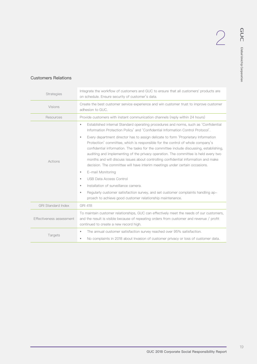# Customers Relations

| <b>Strategies</b>         | Integrate the workflow of customers and GUC to ensure that all customers' products are<br>on schedule. Ensure security of customer's data.                                                                                                                                                                                                                                                                                                                                                                                              |  |
|---------------------------|-----------------------------------------------------------------------------------------------------------------------------------------------------------------------------------------------------------------------------------------------------------------------------------------------------------------------------------------------------------------------------------------------------------------------------------------------------------------------------------------------------------------------------------------|--|
| Visions                   | Create the best customer service experience and win customer trust to improve customer<br>adhesion to GUC.                                                                                                                                                                                                                                                                                                                                                                                                                              |  |
| Resources                 | Provide customers with instant communication channels (reply within 24 hours)                                                                                                                                                                                                                                                                                                                                                                                                                                                           |  |
|                           | Established internal Standard operating procedures and norms, such as 'Confidential<br>$\bullet$<br>Information Protection Policy' and 'Confidential Information Control Protocol'.                                                                                                                                                                                                                                                                                                                                                     |  |
| Actions                   | Every department director has to assign delicate to form 'Proprietary Information<br>$\bullet$<br>Protection' committee, which is responsible for the control of whole company's<br>confidential information. The tasks for the committee include discussing, establishing,<br>auditing and implementing of the privacy operation. The committee is held every two<br>months and will discuss issues about controlling confidential information and make<br>decision. The committee will have interim meetings under certain occasions. |  |
|                           | E-mail Monitoring<br>۰                                                                                                                                                                                                                                                                                                                                                                                                                                                                                                                  |  |
|                           | <b>USB Data Access Control</b><br>$\bullet$                                                                                                                                                                                                                                                                                                                                                                                                                                                                                             |  |
|                           | Installation of surveillance camera.<br>۰                                                                                                                                                                                                                                                                                                                                                                                                                                                                                               |  |
|                           | Regularly customer satisfaction survey, and set customer complaints handling ap-<br>$\bullet$<br>proach to achieve good customer relationship maintenance.                                                                                                                                                                                                                                                                                                                                                                              |  |
| <b>GRI Standard Index</b> | <b>GRI 418</b>                                                                                                                                                                                                                                                                                                                                                                                                                                                                                                                          |  |
| Effectiveness assessment  | To maintain customer relationships, GUC can effectively meet the needs of our customers,<br>and the result is visible because of repeating orders from customer and revenue / profit<br>continued to create a new record high.                                                                                                                                                                                                                                                                                                          |  |
|                           | The annual customer satisfaction survey reached over 95% satisfaction.<br>$\bullet$                                                                                                                                                                                                                                                                                                                                                                                                                                                     |  |
| Targets                   | No complaints in 2018 about Invasion of customer privacy or loss of customer data.<br>$\bullet$                                                                                                                                                                                                                                                                                                                                                                                                                                         |  |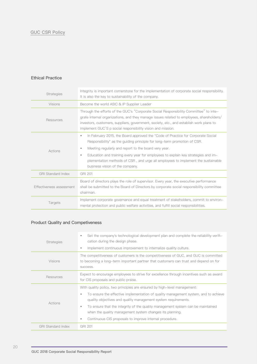#### Ethical Practice

| <b>Strategies</b>         | Integrity is important cornerstone for the implementation of corporate social responsibility.<br>It is also the key to sustainability of the company.                                                                                                                                                                                                                                                                                                  |
|---------------------------|--------------------------------------------------------------------------------------------------------------------------------------------------------------------------------------------------------------------------------------------------------------------------------------------------------------------------------------------------------------------------------------------------------------------------------------------------------|
| Visions                   | Become the world ASIC & IP Supplier Leader                                                                                                                                                                                                                                                                                                                                                                                                             |
| Resources                 | Through the efforts of the GUC's "Corporate Social Responsibility Committee" to inte-<br>grate internal organizations, and they manage issues related to employees, shareholders/<br>investors, customers, suppliers, government, society, etc., and establish work plans to<br>implement GUC'S p social responsibility vision and mission.                                                                                                            |
| Actions                   | In February 2015, the Board approved the "Code of Practice for Corporate Social<br>$\bullet$<br>Responsibility" as the guiding principle for long-term promotion of CSR.<br>Meeting regularly and report to the board very year.<br>۰<br>Education and training every year for employees to explain key strategies and im-<br>٠<br>plementation methods of CSR, and urge all employees to implement the sustainable<br>business vision of the company. |
| <b>GRI Standard Index</b> | <b>GRI 201</b>                                                                                                                                                                                                                                                                                                                                                                                                                                         |
| Effectiveness assessment  | Board of directors plays the role of supervisor. Every year, the executive performance<br>shall be submitted to the Board of Directors by corporate social responsibility committee<br>chairman.                                                                                                                                                                                                                                                       |
| Targets                   | Implement corporate governance and equal treatment of stakeholders, commit to environ-<br>mental protection and public welfare activities, and fulfill social responsibilities.                                                                                                                                                                                                                                                                        |

# Product Quality and Competiveness

| <b>Strategies</b>         | Set the company's technological development plan and complete the reliability verifi-<br>٠<br>cation during the design phase.<br>Implement continuous improvement to internalize quality culture.<br>٠                                                                                                                                                                                                                                                 |  |
|---------------------------|--------------------------------------------------------------------------------------------------------------------------------------------------------------------------------------------------------------------------------------------------------------------------------------------------------------------------------------------------------------------------------------------------------------------------------------------------------|--|
| <b>Visions</b>            | The competitiveness of customers is the competitiveness of GUC, and GUC is committed<br>to becoming a long-term important partner that customers can trust and depend on for<br>success.                                                                                                                                                                                                                                                               |  |
| Resources                 | Expect to encourage employees to strive for excellence through incentives such as award<br>for CIS proposals and public praise.                                                                                                                                                                                                                                                                                                                        |  |
| Actions                   | With quality policy, two principles are ensured by high-level management:<br>To ensure the effective implementation of quality management system, and to achieve<br>quality objectives and quality management system requirements.<br>To ensure that the integrity of the quality management system can be maintained<br>٠<br>when the quality management system changes its planning.<br>Continuous CIS proposals to improve internal procedure.<br>٠ |  |
| <b>GRI Standard Index</b> | <b>GRI 201</b>                                                                                                                                                                                                                                                                                                                                                                                                                                         |  |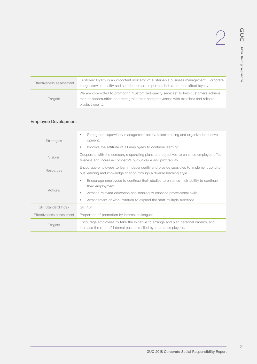| Effectiveness assessment | Customer loyalty is an important indicator of sustainable business management. Corporate<br>image, service quality and satisfaction are important indicators that affect loyalty.                  |
|--------------------------|----------------------------------------------------------------------------------------------------------------------------------------------------------------------------------------------------|
| <b>Targets</b>           | We are committed to promoting "customized quality services" to help customers achieve<br>market opportunities and strengthen their competitiveness with excellent and reliable<br>product quality. |

# Employee Development

| <b>Strategies</b>         | Strengthen supervisory management ability, talent training and organizational devel-<br>۰<br>opment.<br>Improve the attitude of all employees to continue learning.<br>۰                                                                                                  |
|---------------------------|---------------------------------------------------------------------------------------------------------------------------------------------------------------------------------------------------------------------------------------------------------------------------|
| Visions                   | Cooperate with the company's operating plans and objectives to enhance employee effec-<br>tiveness and increase company's output value and profitability.                                                                                                                 |
| Resources                 | Encourage employees to learn independently and provide subsidies to implement continu-<br>ous learning and knowledge sharing through a diverse learning style.                                                                                                            |
| Actions                   | Encourage employees to continue their studies to enhance their ability to continue<br>۰<br>their employment.<br>Arrange relevant education and training to enhance professional skills.<br>۰<br>Arrangement of work rotation to expand the staff multiple functions.<br>۰ |
| <b>GRI Standard Index</b> | <b>GRI 404</b>                                                                                                                                                                                                                                                            |
| Effectiveness assessment  | Proportion of promotion by internal colleagues                                                                                                                                                                                                                            |
| Targets                   | Encourage employees to take the initiative to arrange and plan personal careers, and<br>increase the ratio of internal positions filled by internal employees.                                                                                                            |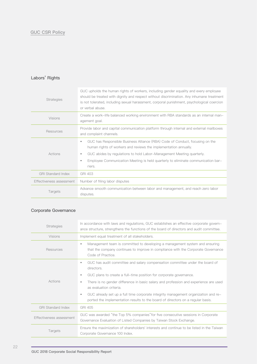# Labors' Rights

| <b>Strategies</b>         | GUC upholds the human rights of workers, including gender equality and every employee<br>should be treated with dignity and respect without discrimination. Any inhumane treatment<br>is not tolerated, including sexual harassment, corporal punishment, psychological coercion<br>or verbal abuse. |
|---------------------------|------------------------------------------------------------------------------------------------------------------------------------------------------------------------------------------------------------------------------------------------------------------------------------------------------|
| Visions                   | Create a work-life balanced working environment with RBA standards as an internal man-<br>agement goal.                                                                                                                                                                                              |
| Resources                 | Provide labor and capital communication platform through internal and external mailboxes<br>and complaint channels.                                                                                                                                                                                  |
| Actions                   | GUC has Responsible Business Alliance (RBA) Code of Conduct, focusing on the<br>$\bullet$<br>human rights of workers and reviews the implementation annually.<br>GUC abides by regulations to hold Labor–Management Meeting quarterly.<br>٠                                                          |
|                           | Employee Communication Meeting is held quarterly to eliminate communication bar-<br>٠<br>riers.                                                                                                                                                                                                      |
| <b>GRI Standard Index</b> | <b>GRI 403</b>                                                                                                                                                                                                                                                                                       |
| Effectiveness assessment  | Number of filing labor disputes                                                                                                                                                                                                                                                                      |
| Targets                   | Advance smooth communication between labor and management, and reach zero labor<br>disputes.                                                                                                                                                                                                         |

# Corporate Governance

| <b>Strategies</b>         | In accordance with laws and regulations, GUC establishes an effective corporate govern-<br>ance structure, strengthens the functions of the board of directors and audit committee.        |
|---------------------------|--------------------------------------------------------------------------------------------------------------------------------------------------------------------------------------------|
| <b>Visions</b>            | Implement equal treatment of all stakeholders.                                                                                                                                             |
| Resources                 | Management team is committed to developing a management system and ensuring<br>٠<br>that the company continues to improve in compliance with the Corporate Governance<br>Code of Practice. |
|                           | GUC has audit committee and salary compensation committee under the board of<br>٠<br>directors.                                                                                            |
|                           | GUC plans to create a full-time position for corporate governance.<br>۰                                                                                                                    |
| Actions                   | There is no gender difference in basic salary and profession and experience are used<br>٠<br>as evaluation criteria.                                                                       |
|                           | GUC already set up a full time corporate integrity management organization and re-<br>٠<br>ported the implementation results to the board of directors on a regular basis.                 |
| <b>GRI Standard Index</b> | GRI 405                                                                                                                                                                                    |
| Effectiveness assessment  | GUC was awarded "the Top 5% companies" for five consecutive sessions in Corporate<br>Governance Evaluation of Listed Companies by Taiwan Stock Exchange.                                   |
| Targets                   | Ensure the maximization of shareholders' interests and continue to be listed in the Taiwan<br>Corporate Governance 100 Index.                                                              |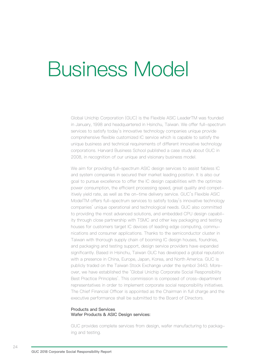# Business Model

Global Unichip Corporation (GUC) is the Flexible ASIC LeaderTM was founded in January, 1998 and headquartered in Hsinchu, Taiwan. We offer full-spectrum services to satisfy today's innovative technology companies unique provide comprehensive flexible customized IC service which is capable to satisfy the unique business and technical requirements of different innovative technology corporations. Harvard Business School published a case study about GUC in 2008, in recognition of our unique and visionary business model.

We aim for providing full-spectrum ASIC design services to assist fabless IC and system companies in secured their market leading position. It is also our goal to pursue excellence to offer the IC design capabilities with the optimize power consumption, the efficient processing speed, great quality and competitively yield rate, as well as the on-time delivery service. GUC's Flexible ASIC ModelTM offers full-spectrum services to satisfy today's innovative technology companies' unique operational and technological needs. GUC also committed to providing the most advanced solutions, and embedded CPU design capability through close partnership with TSMC and other key packaging and testing houses for customers target IC devices of leading edge computing, communications and consumer applications. Thanks to the semiconductor cluster in Taiwan with thorough supply chain of booming IC design houses, foundries, and packaging and testing support, design service providers have expanded significantly. Based in Hsinchu, Taiwan GUC has developed a global reputation with a presence in China, Europe, Japan, Korea, and North America. GUC is publicly traded on the Taiwan Stock Exchange under the symbol 3443. Moreover, we have established the 'Global Unichip Corporate Social Responsibility Best Practice Principles'. This commission is composed of cross-department representatives in order to implement corporate social responsibility initiatives. The Chief Financial Officer is appointed as the Chairman in full charge and the executive performance shall be submitted to the Board of Directors.

#### Products and Services Wafer Products & ASIC Design services:

GUC provides complete services from design, wafer manufacturing to packaging and testing.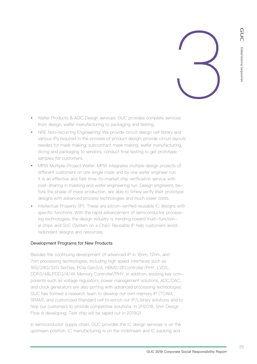

- Wafer Products & ASIC Design services: GUC provides complete services from design, wafer manufacturing to packaging and testing.
- NRE Non-recurring Engineering: We provide circuit design cell library and various IPs required in the process of product design; provide circuit layouts needed for mask making; subcontract mask making, wafer manufacturing, dicing and packaging to vendors; conduct final testing to get prototype samples for customers.
- MPW Multiple-Project Wafer: MPW integrates multiple design projects of different customers on one single mask and by one wafer engineer run. It is an effective and fast time-to-market chip verification service with cost-sharing in masking and wafer engineering run. Design engineers, before the phase of mass production, are able to timely verify their prototype designs with advanced process technologies and much lower costs.
- Intellectual Property (IP): These are silicon-verified reusable IC designs with specific functions. With the rapid advancement of semiconductor processing technologies, the design industry is trending toward multi-functional chips and SoC (System on a Chip). Reusable IP help customers avoid redundant designs and resources.

# Development Programs for New Products

Besides the continuing development of advanced IP in 16nm, 12nm, and 7nm processing technologies, including high speed interfaces such as 16G/28G/32G SerDes, PCIe Gen3/4, HBM2/2EController/PHY, LVDS, DDR3/4&LPDD3/4/4X Memory Controller/PHY. In addition, existing key components such as voltage regulators, power management solutions, ADC/DAC, and clock generators are also porting with advanced processing technologies. GUC has formed a research team to develop our own memory IP (TCAM, SRAM), and customized Standard cell to enrich our IP/Library solutions and to help our customers to provide competitive solutions. In 2H2018, 5nm Design Flow is developing. Test chip will be taped out in 2019Q1.

In semiconductor supply chain, GUC provides the IC design services is on the upstream position. IC manufacturing is on the midstream and IC packing and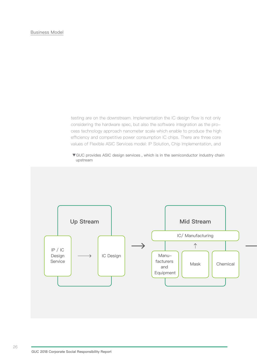testing are on the downstream. Implementation the IC design flow is not only considering the hardware spec, but also the software integration as the process technology approach nanometer scale which enable to produce the high efficiency and competitive power consumption IC chips. There are three core values of Flexible ASIC Services model: IP Solution, Chip Implementation, and

▼GUC provides ASIC design services , which is in the semiconductor industry chain upstream

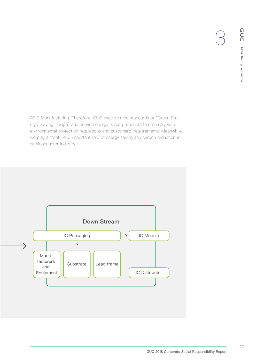ASIC Manufacturing. Therefore, GUC executes the standards of "Green Energy-saving Design" and provide energy-saving products that comply with environmental protection regulations and customers' requirements. Meanwhile, we play a front- end important role of energy saving and carbon reduction in semiconductor industry.

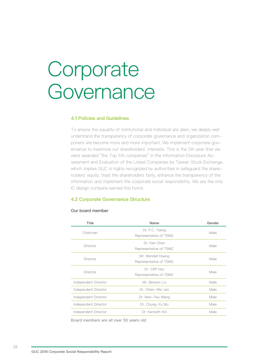# Corporate Governance

# **4.1 Policies and Guidelines**

To ensure the equality of institutional and individual are alien, we deeply well understand the transparency of corporate governance and organization component are become more and more important. We implement corporate governance to maximize our shareholders' interests. This is the 5th year that we were awarded "the Top 5% companies" in the Information Disclosure Assessment and Evaluation of the Listed Companies by Taiwan Stock Exchange, which implies GUC is highly recognized by authorities in safeguard the shareholders' equity, treat the shareholders fairly, enhance the transparency of the information and implement the corporate social responsibility. We are the only IC design company earned this honor.

# **4.2 Corporate Governance Structure**

#### Our board member

| Title                | Name                                        | Gender |
|----------------------|---------------------------------------------|--------|
| Chairman             | Dr. F.C. Tseng<br>Representative of TSMC    | Male   |
| Director             | Dr. Ken Chen<br>Representative of TSMC      | Male   |
| Director             | Mr. Wendell Huang<br>Representative of TSMC | Male   |
| Director             | Dr. Cliff Hou<br>Representative of TSMC     | Male   |
| Independent Director | Mr. Benson Liu                              | Male   |
| Independent Director | Dr. Chien-Wei Jen                           | Male   |
| Independent Director | Dr. Wen-Yeu Wang                            | Male   |
| Independent Director | Dr. Chung-Yu Wu                             | Male   |
| Independent Director | Dr. Kenneth Kin                             | Male   |

Board members are all over 50 years old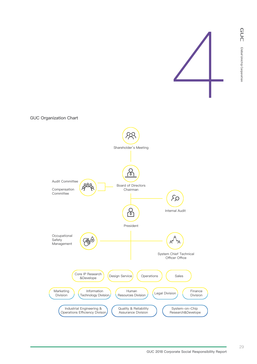

GUC Organization Chart

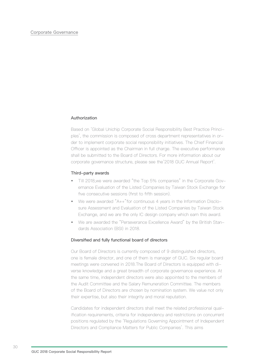#### Corporate Governance

#### Authorization

Based on 'Global Unichip Corporate Social Responsibility Best Practice Principles', the commission is composed of cross department representatives in order to implement corporate social responsibility initiatives. The Chief Financial Officer is appointed as the Chairman in full charge. The executive performance shall be submitted to the Board of Directors. For more information about our corporate governance structure, please see the'2018 GUC Annual Report'.

#### Third-party awards

- Till 2018,we were awarded "the Top 5% companies" in the Corporate Governance Evaluation of the Listed Companies by Taiwan Stock Exchange for five consecutive sessions (first to fifth session).
- We were awarded "A++"for continuous 4 years in the Information Disclosure Assessment and Evaluation of the Listed Companies by Taiwan Stock Exchange, and we are the only IC design company which earn this award.
- We are awarded the "Perseverance Excellence Award" by the British Standards Association (BSI) in 2018.

#### Diversified and fully functional board of directors

Our Board of Directors is currently composed of 9 distinguished directors, one is female director, and one of them is manager of GUC. Six regular board meetings were convened in 2018.The Board of Directors is equipped with diverse knowledge and a great breadth of corporate governance experience. At the same time, independent directors were also appointed to the members of the Audit Committee and the Salary Remuneration Committee. The members of the Board of Directors are chosen by nomination system. We value not only their expertise, but also their integrity and moral reputation.

Candidates for independent directors shall meet the related professional qualification requirements, criteria for independency and restrictions on concurrent positions regulated by the 'Regulations Governing Appointment of Independent Directors and Compliance Matters for Public Companies'. This aims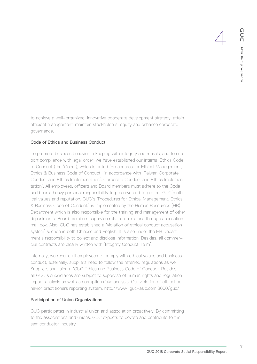to achieve a well-organized, innovative cooperate development strategy, attain efficient management, maintain stockholders' equity and enhance corporate governance.

# Code of Ethics and Business Conduct

To promote business behavior in keeping with integrity and morals, and to support compliance with legal order, we have established our internal Ethics Code of Conduct (the 'Code'), which is called 'Procedures for Ethical Management, Ethics & Business Code of Conduct.' in accordance with 'Taiwan Corporate Conduct and Ethics Implementation'. Corporate Conduct and Ethics Implementation'. All employees, officers and Board members must adhere to the Code and bear a heavy personal responsibility to preserve and to protect GUC's ethical values and reputation. GUC's 'Procedures for Ethical Management, Ethics & Business Code of Conduct.' is implemented by the Human Resources (HR) Department which is also responsible for the training and management of other departments. Board members supervise related operations through accusation mail box. Also, GUC has established a 'violation of ethical conduct accusation system' section in both Chinese and English. It is also under the HR Department's responsibility to collect and disclose information. Besides, all commercial contracts are clearly written with 'Integrity Conduct Term'.

Internally, we require all employees to comply with ethical values and business conduct; externally, suppliers need to follow the referred regulations as well. Suppliers shall sign a 'GUC Ethics and Business Code of Conduct. Besides, all GUC's subsidiaries are subject to supervise of human rights and regulation impact analysis as well as corruption risks analysis. Our violation of ethical behavior practitioners reporting system: http://www1.guc-asic.com:8000/guc/

# Participation of Union Organizations

GUC participates in industrial union and association proactively. By committing to the associations and unions, GUC expects to devote and contribute to the semiconductor industry.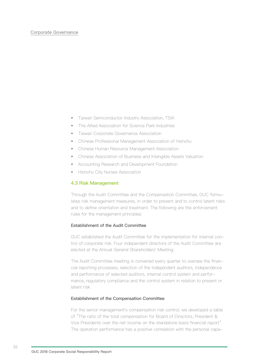#### Corporate Governance

- Taiwan Semiconductor Industry Association, TSIA
- The Allied Association for Science Park Industries
- Taiwan Corporate Governance Association
- Chinese Professional Management Association of Hsinchu
- Chinese Human Resource Management Association
- Chinese Association of Business and Intangible Assets Valuation
- Accounting Research and Development Foundation
- Hsinchu City Nurses Association

#### **4.3 Risk Management**

Through the Audit Committee and the Compensation Committee, GUC formulates risk management measures, in order to prevent and to control latent risks and to define orientation and treatment. The following are the enforcement rules for the management principles:

# Establishment of the Audit Committee

GUC established the Audit Committee for the implementation for internal control of corporate risk. Four independent directors of the Audit Committee are elected at the Annual General Shareholders' Meeting.

The Audit Committee meeting is convened every quarter to oversee the financial reporting processes, selection of the independent auditors, independence and performance of selected auditors, internal control system and performance, regulatory compliance and the control system in relation to present or latent risk.

#### Establishment of the Compensation Committee

For the senior management's compensation risk control, we developed a table of "The ratio of the total compensation for Board of Directors, President & Vice Presidents over the net income on the standalone basis financial report". The operation performance has a positive correlation with the personal capa-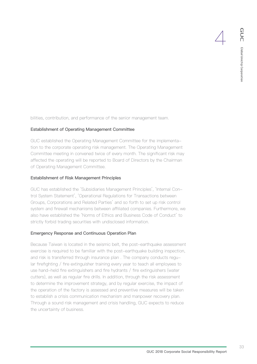bilities, contribution, and performance of the senior management team.

# Establishment of Operating Management Committee

GUC established the Operating Management Committee for the implementation to the corporate operating risk management. The Operating Management Committee meeting in convened twice of every month. The significant risk may affected the operating will be reported to Board of Directors by the Chairman of Operating Management Committee.

#### Establishment of Risk Management Principles

GUC has established the 'Subsidiaries Management Principles', 'Internal Control System Statement', 'Operational Regulations for Transactions between Groups, Corporations and Related Parties' and so forth to set up risk control system and firewall mechanisms between affiliated companies. Furthermore, we also have established the 'Norms of Ethics and Business Code of Conduct' to strictly forbid trading securities with undisclosed information.

#### Emergency Response and Continuous Operation Plan

Because Taiwan is located in the seismic belt, the post-earthquake assessment exercise is required to be familiar with the post-earthquake building inspection, and risk is transferred through insurance plan . The company conducts regular firefighting / fire extinguisher training every year to teach all employees to use hand-held fire extinguishers and fire hydrants / fire extinguishers (water cutters), as well as regular fire drills. In addition, through the risk assessment to determine the improvement strategy, and by regular exercise, the impact of the operation of the factory is assessed and preventive measures will be taken to establish a crisis communication mechanism and manpower recovery plan. Through a sound risk management and crisis handling, GUC expects to reduce the uncertainty of business.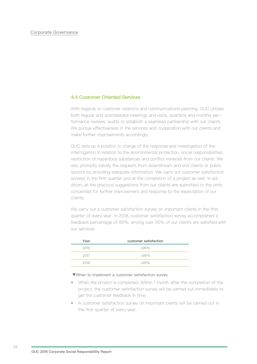# **4.4 Customer Oriented Services**

With regards to customer relations and communications planning, GUC utilizes both regular and unscheduled meetings and visits, quarterly and monthly performance reviews, audits to establish a seamless partnership with our clients. We pursue effectiveness in the services and cooperation with our clients and make further improvements accordingly.

GUC sets up a position in charge of the response and investigation of the interrogation in relation to the environmental protection, social responsibilities, restriction of hazardous substances and conflict minerals from our clients. We also promptly satisfy the requests from downstream and end clients or public sectors by providing adequate information. We carry out customer satisfaction surveys in the first quarter and at the completion of a project as well. In addition, all the precious suggestions from our clients are submitted to the units concerned for further improvement and response to the expectation of our clients.

We carry out a customer satisfaction survey on important clients in the first quarter of every year. In 2018, customer satisfaction survey accomplished a feedback percentage of 80%; among over 95% of our clients are satisfied with our services.

| Year | customer satisfaction |
|------|-----------------------|
| 2016 | $>95\%$               |
| 2017 | $>95\%$               |
| 2018 | $>95\%$               |

#### ▼When to implement a customer satisfaction survey

- When the project is completed: Within 1 month after the completion of the project, the customer satisfaction survey will be carried out immediately to get the customer feedback in time.
- A customer satisfaction survey on important clients will be carried out in the first quarter of every year.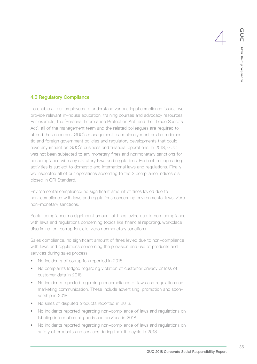## **4.5 Regulatory Compliance**

To enable all our employees to understand various legal compliance issues, we provide relevant in-house education, training courses and advocacy resources. For example, the 'Personal Information Protection Act' and the 'Trade Secrets Act'; all of the management team and the related colleagues are required to attend these courses. GUC's management team closely monitors both domestic and foreign government policies and regulatory developments that could have any impact on GUC's business and financial operations. In 2018, GUC was not been subjected to any monetary fines and nonmonetary sanctions for noncompliance with any statutory laws and regulations. Each of our operating activities is subject to domestic and international laws and regulations. Finally, we inspected all of our operations according to the 3 compliance indices disclosed in GRI Standard.

Environmental compliance: no significant amount of fines levied due to non-compliance with laws and regulations concerning environmental laws. Zero non-monetary sanctions.

Social compliance: no significant amount of fines levied due to non-compliance with laws and regulations concerning topics like financial reporting, workplace discrimination, corruption, etc. Zero nonmonetary sanctions.

Sales compliance: no significant amount of fines levied due to non-compliance with laws and regulations concerning the provision and use of products and services during sales process.

- No incidents of corruption reported in 2018.
- No complaints lodged regarding violation of customer privacy or loss of customer data in 2018.
- No incidents reported regarding noncompliance of laws and regulations on marketing communication. These include advertising, promotion and sponsorship in 2018.
- No sales of disputed products reported in 2018.
- No incidents reported regarding non-compliance of laws and regulations on labeling information of goods and services in 2018.
- No incidents reported regarding non-compliance of laws and regulations on safety of products and services during their life cycle in 2018.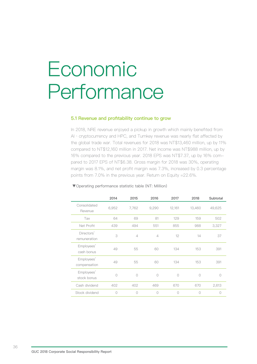# Economic Performance

## **5.1 Revenue and profitability continue to grow**

In 2018, NRE revenue enjoyed a pickup in growth which mainly benefited from AI · cryptocurrency and HPC, and Turnkey revenue was nearly flat affected by the global trade war. Total revenues for 2018 was NT\$13,460 million, up by 11% compared to NT\$12,160 million in 2017. Net income was NT\$988 million, up by 16% compared to the previous year. 2018 EPS was NT\$7.37, up by 16% compared to 2017 EPS of NT\$6.38. Gross margin for 2018 was 30%, operating margin was 8.1%, and net profit margin was 7.3%, increased by 0.3 percentage points from 7.0% in the previous year. Return on Equity =22.6%.

|                            | 2014    | 2015           | 2016           | 2017       | 2018       | Subtotal   |
|----------------------------|---------|----------------|----------------|------------|------------|------------|
| Consolidated<br>Revenue    | 6,952   | 7,762          | 9,290          | 12,161     | 13,460     | 49,625     |
| Tax                        | 64      | 69             | 81             | 129        | 159        | 502        |
| Net Profit                 | 439     | 494            | 551            | 855        | 988        | 3,327      |
| Directors'<br>remuneration | 3       | $\overline{4}$ | $\overline{4}$ | 12         | 14         | 37         |
| Employees'<br>cash bonus   | 49      | 55             | 60             | 134        | 153        | 391        |
| Employees'<br>compensation | 49      | 55             | 60             | 134        | 153        | 391        |
| Employees'<br>stock bonus  | Ω       | $\bigcirc$     | $\bigcirc$     | $\bigcap$  | $\bigcap$  | 0          |
| Cash dividend              | 402     | 402            | 469            | 670        | 670        | 2,613      |
| Stock dividend             | $\circ$ | $\bigcirc$     | $\bigcirc$     | $\bigcirc$ | $\bigcirc$ | $\bigcirc$ |

#### ▼Operating performance statistic table (NT: Million)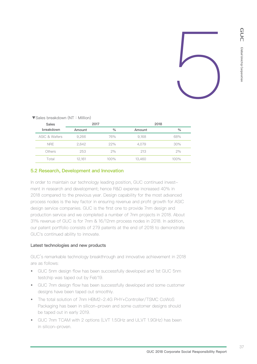

| V UUIUU NIUUINUU VIII (I VIII TIVIIIIIUIII) |        |               |        |      |
|---------------------------------------------|--------|---------------|--------|------|
| <b>Sales</b>                                | 2017   |               | 2018   |      |
| breakdown                                   | Amount | $\frac{0}{0}$ | Amount | $\%$ |
| ASIC & Wafers                               | 9.266  | 76%           | 9,168  | 68%  |
| <b>NRE</b>                                  | 2.642  | 22%           | 4.079  | 30%  |
| Others                                      | 253    | 2%            | 213    | 2%   |
| Total                                       | 12.161 | 100%          | 13,460 | 100% |

▼Sales breakdown (NT:Million)

## **5.2 Research, Development and Innovation**

In order to maintain our technology leading position, GUC continued investment in research and development; hence R&D expense increased 40% in 2018 compared to the previous year. Design capability for the most advanced process nodes is the key factor in ensuring revenue and profit growth for ASIC design service companies. GUC is the first one to provide 7nm design and production service and we completed a number of 7nm projects in 2018. About 31% revenue of GUC is for 7nm & 16/12nm process nodes in 2018. In addition, our patent portfolio consists of 279 patents at the end of 2018 to demonstrate GUC's continued ability to innovate.

#### Latest technologies and new products

GUC's remarkable technology breakthrough and innovative achievement in 2018 are as follows:

- GUC 5nm design flow has been successfully developed and 1st GUC 5nm testchip was taped out by Feb'19.
- GUC 7nm design flow has been successfully developed and some customer designs have been taped out smoothly.
- The total solution of 7nm HBM2-2.4G PHY+Controller/TSMC CoWoS Packaging has been in silicon-proven and some customer designs should be taped out in early 2019.
- GUC 7nm TCAM with 2 options (LVT 1.5GHz and ULVT 1.9GHz) has been in silicon-proven.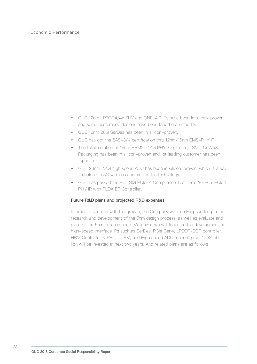## Economic Performance

- GUC 12nm LPDDR4/4x PHY and ONFi 4.0 IPs have been in silicon-proven and some customers' designs have been taped out smoothly.
- GUC 12nm 28G SerDes has been in silicon-proven.
- GUC has got the SAS-3/4 certification thru 12nm/16nm EMS-PHY IP.
- The totall solution of 16nm HBM2-2.4G PHY+Controller/TSMC CoWoS Packaging has been in silicon-proven and 1st leading customer has been taped out.
- GUC 28nm 2.4G high speed ADC has been in silicon-proven, which is a key technique in 5G wireless communication technology.
- GUC has passed the PCI-SIG PCIe-4 Compliance Test thru 28HPC+ PCIe4 PHY IP with PLDA EP Controller.

## Future R&D plans and projected R&D expenses

In order to keep up with the growth, the Company will also keep working in the research and development of the 7nm design process, as well as evaluate and plan for the 5nm process node. Moreover, we will focus on the development of high-speed interface IPs such as SerDes, PCIe Gen4, LPDDR/DDR controller, HBM Controller & PHY, TCAM, and High speed ADC technologies. NT\$4.5billion will be invested in next two years. And related plans are as follows: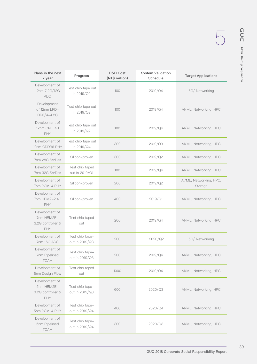| Plans in the next<br>2 year                                     | Progress                          | <b>R&amp;D Cost</b><br>(NT\$ million) | <b>System Validation</b><br>Schedule | <b>Target Applications</b>         |
|-----------------------------------------------------------------|-----------------------------------|---------------------------------------|--------------------------------------|------------------------------------|
| Development of<br>12nm 7.2G/12G<br><b>ADC</b>                   | Test chip tape out<br>in 2019/Q2  | 100                                   | 2019/Q4                              | 5G/ Networking                     |
| Development<br>of 12nm LPD-<br>DR3/4-4.2G                       | Test chip tape out<br>in 2019/Q2  | 100                                   | 2019/Q4                              | Al/ML, Networking, HPC             |
| Development of<br>12nm ONFi 4.1<br>PHY                          | Test chip tape out<br>in 2019/Q2  | 100                                   | 2019/Q4                              | Al/ML, Networking, HPC             |
| Development of<br>12nm GDDR6 PHY                                | Test chip tape out<br>in 2019/Q4  | 300                                   | 2019/Q3                              | Al/ML, Networking, HPC             |
| Development of<br>7nm 28G SerDes                                | Silicon-proven                    | 300                                   | 2019/Q2                              | Al/ML, Networking, HPC             |
| Development of<br>7nm 32G SerDes                                | Test chip taped<br>out in 2019/Q1 | 100                                   | 2019/Q4                              | AI/ML, Networking, HPC             |
| Development of<br>7nm PCle-4 PHY                                | Silicon-proven                    | 200                                   | 2019/Q2                              | AI/ML, Networking, HPC,<br>Storage |
| Development of<br>7nm HBM2-2.4G<br><b>PHY</b>                   | Silicon-proven                    | 400                                   | 2019/Q1                              | Al/ML, Networking, HPC             |
| Development of<br>7nm HBM2E-<br>3.2G controller &<br><b>PHY</b> | Test chip taped<br>out            | 200                                   | 2019/Q4                              | AI/ML, Networking, HPC             |
| Development of<br>7nm 16G ADC                                   | Test chip tape-<br>out in 2019/Q3 | 200                                   | 2020/Q2                              | 5G/ Networking                     |
| Development of<br>7nm Pipelined<br>TCAM                         | Test chip tape-<br>out in 2019/Q3 | 200                                   | 2019/Q4                              | Al/ML, Networking, HPC             |
| Development of<br>5nm Design Flow                               | Test chip taped<br>out            | 1000                                  | 2019/Q4                              | Al/ML, Networking, HPC             |
| Development of<br>5nm HBM2E-<br>3.2G controller &<br><b>PHY</b> | Test chip tape-<br>out in 2019/Q3 | 600                                   | 2020/Q3                              | Al/ML, Networking, HPC             |
| Development of<br>5nm PCle-4 PHY                                | Test chip tape-<br>out in 2019/Q4 | 400                                   | 2020/Q4                              | AI/ML, Networking, HPC             |
| Development of<br>5nm Pipelined<br><b>TCAM</b>                  | Test chip tape-<br>out in 2019/Q4 | 300                                   | 2020/Q3                              | AI/ML, Networking, HPC             |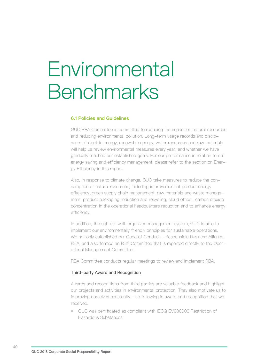## **Environmental Benchmarks**

## **6.1 Policies and Guidelines**

GUC RBA Committee is committed to reducing the impact on natural resources and reducing environmental pollution. Long-term usage records and disclosures of electric energy, renewable energy, water resources and raw materials will help us review environmental measures every year, and whether we have gradually reached our established goals. For our performance in relation to our energy saving and efficiency management, please refer to the section on Energy Efficiency in this report.

Also, in response to climate change, GUC take measures to reduce the consumption of natural resources, including improvement of product energy efficiency, green supply chain management, raw materials and waste management, product packaging reduction and recycling, cloud office, carbon dioxide concentration in the operational headquarters reduction and to enhance energy efficiency.

In addition, through our well-organized management system, GUC is able to implement our environmentally friendly principles for sustainable operations. We not only established our Code of Conduct - Responsible Business Alliance, RBA, and also formed an RBA Committee that is reported directly to the Operational Management Committee.

RBA Committee conducts regular meetings to review and implement RBA.

## Third-party Award and Recognition

Awards and recognitions from third parties are valuable feedback and highlight our projects and activities in environmental protection. They also motivate us to improving ourselves constantly. The following is award and recognition that we received.

• GUC was certificated as compliant with IECQ EV080000 Restriction of Hazardous Substances.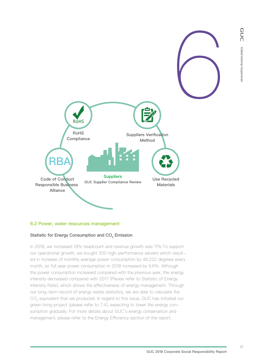

## **6.2 Power, water resources management**

## Statistic for Energy Consumption and CO<sub>2</sub> Emission

In 2018, we increased 19% headcount and revenue growth was 11%.To support our operational growth, we bought 300 high-performance servers which resulted in increase of monthly average power consumption by 48,222 degrees every month, so full year power consumption in 2018 increased by 9.6%. Although the power consumption increased compared with the previous year, the energy intensity decreased compared with 2017 (Please refer to Statistic of Energy Intensity Rate), which shows the effectiveness of energy management. Through our long-term record of energy waste statistics, we are able to calculate the CO<sub>2</sub> equivalent that we produced. In regard to this issue, GUC has initiated our green living project (please refer to 7.4), expecting to lower the energy consumption gradually. For more details about GUC's energy conservation and management, please refer to the Energy Efficiency section of the report.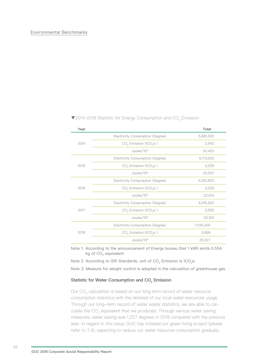| Year |                                               | Total     |
|------|-----------------------------------------------|-----------|
|      | Electricity Consumption (Degree)              | 5,681,500 |
| 2014 | CO <sub>2</sub> Emission (tCO <sub>2</sub> e) | 2,943     |
|      | Joules/ $106$                                 | 20,453    |
|      | Electricity Consumption (Degree)              | 6,113,000 |
| 2015 | $CO2$ Emission (tCO <sub>2</sub> e)           | 3,209     |
|      | Joules/ $106$                                 | 22,007    |
|      | Electricity Consumption (Degree)              | 6,281,600 |
| 2016 | $CO2$ Emission (tCO <sub>2</sub> e)           | 3,329     |
|      | Joules/10 <sup>6</sup>                        | 22,614    |
|      | Electricity Consumption (Degree)              | 6,416,900 |
| 2017 | CO <sub>2</sub> Emission (tCO <sub>2</sub> e) | 3,555     |
|      | Joules/10 <sup>6</sup>                        | 23,100    |
|      | Electricity Consumption (Degree)              | 7,035,400 |
| 2018 | $CO2$ Emission (tCO <sub>2</sub> e)           | 3,898     |
|      | Joules/10 <sup>6</sup>                        | 25,327    |

## ▼2014~2018 Statistic for Energy Consumption and CO<sub>2</sub> Emission

Note 1. According to the announcement of Energy bureau that 1 kWh emits 0.554 kg of CO<sub>2</sub> equivalent

Note 2. According to GRI Standards, unit of  $CO<sub>2</sub>$  Emission is tCO<sub>2</sub>e.

Note 3. Measure for weight control is adopted in the calculation of greenhouse gas.

#### Statistic for Water Consumption and  $CO<sub>2</sub>$  Emission

Our CO<sub>2</sub> calculation is based on our long term record of water resource consumption statistics with the detailed of our local water resources usage. Through our long-term record of water waste statistics, we are able to calculate the  $CO<sub>2</sub>$  equivalent that we produced. Through various water saving measures, water saving was 1,257 degrees in 2018 compared with the previous year. In regard to this issue, GUC has initiated our green living project (please refer to 7.4), expecting to reduce our water resource consumption gradually.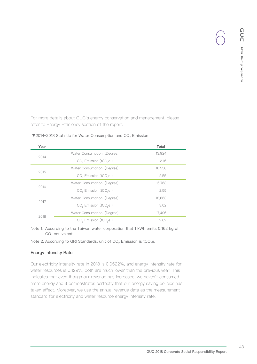For more details about GUC's energy conservation and management, please refer to Energy Efficiency section of the report.

| Year |                                               | Total  |
|------|-----------------------------------------------|--------|
| 2014 | Water Consumption (Degree)                    | 13.924 |
|      | CO <sub>2</sub> Emission (tCO <sub>2</sub> e) | 2.16   |
| 2015 | Water Consumption (Degree)                    | 16,558 |
|      | $CO2$ Emission (tCO <sub>2</sub> e)           | 2.55   |
| 2016 | Water Consumption (Degree)                    | 16,763 |
|      | CO <sub>2</sub> Emission (tCO <sub>2</sub> e) | 2.55   |
| 2017 | Water Consumption (Degree)                    | 18,663 |
|      | CO <sub>2</sub> Emission (tCO <sub>2</sub> e) | 3.02   |
| 2018 | Water Consumption (Degree)                    | 17,406 |
|      | CO <sub>2</sub> Emission (tCO <sub>2</sub> e) | 2.82   |

## ▼2014~2018 Statistic for Water Consumption and CO<sub>2</sub> Emission

Note 1. According to the Taiwan water corporation that 1 kWh emits 0.162 kg of CO<sub>2</sub> equivalent

Note 2. According to GRI Standards, unit of  $CO<sub>2</sub>$  Emission is tCO<sub>2</sub>e.

## Energy Intensity Rate

Our electricity intensity rate in 2018 is 0.0522%, and energy intensity rate for water resources is 0.129%, both are much lower than the previous year. This indicates that even though our revenue has increased, we haven't consumed more energy and it demonstrates perfectly that our energy saving policies has taken effect. Moreover, we use the annual revenue data as the measurement standard for electricity and water resource energy intensity rate.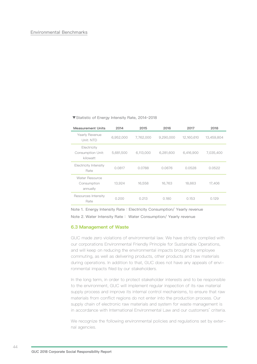▼Statistic of Energy Intensity Rate, 2014~2018

| <b>Measurement Units</b>                     | 2014      | 2015      | 2016      | 2017       | 2018       |
|----------------------------------------------|-----------|-----------|-----------|------------|------------|
| Yearly Revenue<br>Unit: NTD                  | 6,952,000 | 7,762,000 | 9,290,000 | 12,160,610 | 13,459,804 |
| Electricity<br>Consumption Unit:<br>kilowatt | 5,681,500 | 6,113,000 | 6,281,600 | 6,416,900  | 7,035,400  |
| <b>Electricity Intensity</b><br>Rate         | 0.0817    | 0.0788    | 0.0676    | 0.0528     | 0.0522     |
| Water Resource<br>Consumption<br>annually    | 13,924    | 16,558    | 16,763    | 18,663     | 17,406     |
| Resources Intensity<br>Rate                  | 0.200     | 0.213     | 0.180     | 0.153      | 0.129      |

Note 1. Energy Intensity Rate: Electricity Consumption/ Yearly revenue Note 2. Water Intensity Rate: Water Consumption/ Yearly revenue

### **6.3 Management of Waste**

GUC made zero violations of environmental law. We have strictly complied with our corporations Environmental Friendly Principle for Sustainable Operations, and will keep on reducing the environmental impacts brought by employee commuting, as well as delivering products, other products and raw materials during operations. In addition to that, GUC does not have any appeals of environmental impacts filed by our stakeholders.

In the long term, in order to protect stakeholder interests and to be responsible to the environment, GUC will implement regular inspection of its raw material supply process and improve its internal control mechanisms, to ensure that raw materials from conflict regions do not enter into the production process. Our supply chain of electronic raw materials and system for waste management is in accordance with International Environmental Law and our customers' criteria.

We recognize the following environmental policies and regulations set by external agencies.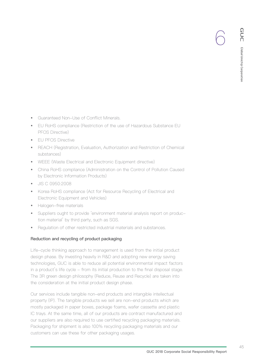- Guaranteed Non-Use of Conflict Minerals.
- EU RoHS compliance (Restriction of the use of Hazardous Substance EU PFOS Directive)
- EU PFOS Directive
- REACH (Registration, Evaluation, Authorization and Restriction of Chemical substances)
- WEEE (Waste Electrical and Electronic Equipment directive)
- China RoHS compliance (Administration on the Control of Pollution Caused by Electronic Information Products)
- JIS C 0950:2008
- Korea RoHS compliance (Act for Resource Recycling of Electrical and Electronic Equipment and Vehicles)
- Halogen-free materials
- Suppliers ought to provide 'environment material analysis report on production material' by third party, such as SGS.
- Regulation of other restricted industrial materials and substances.

## Reduction and recycling of product packaging

Life-cycle thinking approach to management is used from the initial product design phase. By investing heavily in R&D and adopting new energy saving technologies, GUC is able to reduce all potential environmental impact factors in a product's life cycle - from its initial production to the final disposal stage. The 3R green design philosophy (Reduce, Reuse and Recycle) are taken into the consideration at the initial product design phase.

Our services include tangible non-end products and intangible intellectual property (IP). The tangible products we sell are non-end products which are mostly packaged in paper boxes, package foams, wafer cassette and plastic IC trays. At the same time, all of our products are contract manufactured and our suppliers are also required to use certified recycling packaging materials. Packaging for shipment is also 100% recycling packaging materials and our customers can use these for other packaging usages.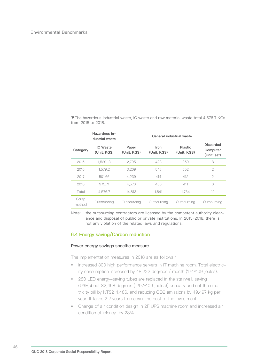▼The hazardous industrial waste, IC waste and raw material waste total 4,576.7 KGs from 2015 to 2018.

|                 | Hazardous in-<br>dustrial waste |                      |                     | General industrial waste |                                             |
|-----------------|---------------------------------|----------------------|---------------------|--------------------------|---------------------------------------------|
| Category        | IC Waste<br>(Unit: KGS)         | Paper<br>(Unit: KGS) | Iron<br>(Unit: KGS) | Plastic<br>(Unit: KGS)   | <b>Discarded</b><br>Computer<br>(Unit: set) |
| 2015            | 1,520.13                        | 2,795                | 423                 | 359                      | 8                                           |
| 2016            | 1,579.2                         | 3.209                | 548                 | 552                      | $\mathfrak{D}$                              |
| 2017            | 501.66                          | 4.239                | 414                 | 412                      | $\overline{2}$                              |
| 2018            | 975.71                          | 4.570                | 456                 | 411                      | $\Omega$                                    |
| Total           | 4.576.7                         | 14.813               | 1.841               | 1.734                    | 12                                          |
| Scrap<br>method | Outsourcing                     | Outsourcing          | Outsourcing         | Outsourcing              | Outsourcing                                 |

Note: the outsourcing contractors are licensed by the competent authority clearance and disposal of public or private institutions. In 2015~2018, there is not any violation of the related laws and regulations.

## **6.4 Energy saving/Carbon reduction**

#### Power energy savings specific measure

The implementation measures in 2018 are as follows:

- Increased 300 high performance servers in IT machine room. Total electricity consumption increased by 48,222 degrees / month (174\*109 joules).
- 280 LED energy-saving tubes are replaced in the stairwell, saving 67%(about 82,468 degrees ( 297\*109 joules)) annually and cut the electricity bill by NT\$214,486, and reducing CO2 emissions by 49,497 kg per year. It takes 2.2 years to recover the cost of the investment.
- Change of air condition design in 2F UPS machine room and increased air condition efficiency by 28%.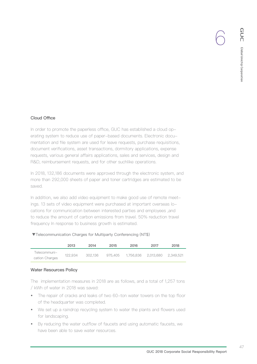## Cloud Office

In order to promote the paperless office, GUC has established a cloud operating system to reduce use of paper-based documents. Electronic documentation and file system are used for leave requests, purchase requisitions, document verifications, asset transactions, dormitory applications, expense requests, various general affairs applications, sales and services, design and R&D, reimbursement requests, and for other suchlike operations.

In 2018, 132,186 documents were approved through the electronic system, and more than 292,000 sheets of paper and toner cartridges are estimated to be saved.

In addition, we also add video equipment to make good use of remote meetings. 13 sets of video equipment were purchased at important overseas locations for communication between interested parties and employees ,and to reduce the amount of carbon emissions from travel. 50% reduction travel frequency In response to business growth is estimated.

#### ▼Telecommunication Charges for Multiparty Conferencing (NT\$)

|                                | 2013    | 2014    | 2015    | 2016 | 2017                            | 2018 |
|--------------------------------|---------|---------|---------|------|---------------------------------|------|
| Telecommuni-<br>cation Charges | 122.934 | 302.136 | 975.405 |      | 1.756.836  2.013.680  2.349.521 |      |

## Water Resources Policy

The implementation measures in 2018 are as follows, and a total of 1,257 tons / kWh of water in 2018 was saved:

- The repair of cracks and leaks of two 60-ton water towers on the top floor of the headquarter was completed.
- We set up a raindrop recycling system to water the plants and flowers used for landscaping.
- By reducing the water outflow of faucets and using automatic faucets, we have been able to save water resources.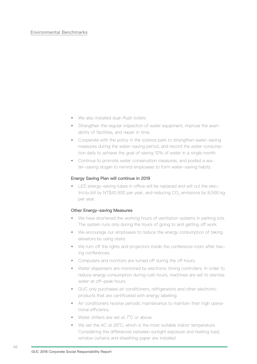## Environmental Benchmarks

- We also installed dual-flush toilets.
- Strengthen the regular inspection of water equipment, improve the availability of facilities, and repair in time.
- Cooperate with the policy in the science park to strengthen water-saving measures during the water-saving period, and record the water consumption daily to achieve the goal of saving 10% of water in a single month.
- Continue to promote water conservation measures, and posted a water-saving slogan to remind employees to form water-saving habits.

#### Energy Saving Plan will continue in 2019

• LED energy-saving tubes in office will be replaced and will cut the electricity bill by NT\$42,800 per year, and reducing CO<sub>2</sub> emissions by 8,566 kg per year.

## Other Energy-saving Measures

- We have shortened the working hours of ventilation systems in parking lots. The system runs only during the hours of going to and getting off work.
- We encourage our employees to reduce the energy consumption of taking elevators by using stairs.
- We turn off the lights and projectors inside the conference room after having conferences.
- Computers and monitors are turned off during the off hours.
- Water dispensers are monitored by electronic timing controllers. In order to reduce energy consumption during rush hours, machines are set to sterilize water at off-peak hours.
- GUC only purchases air conditioners, refrigerators and other electronic products that are certificated with energy labelling.
- Air conditioners receive periodic maintenance to maintain their high operational efficiency.
- Water chillers are set at 7°C or above.
- We set the AC at 26°C, which is the most suitable indoor temperature. Considering the differences between sunlight exposure and heating load, window curtains and sheathing paper are installed.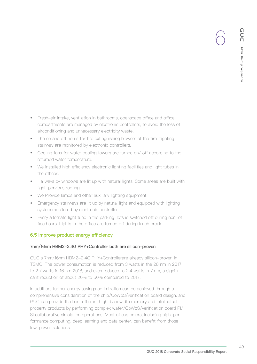- Fresh-air intake, ventilation in bathrooms, openspace office and office compartments are managed by electronic controllers, to avoid the loss of airconditioning and unnecessary electricity waste.
- The on and off hours for fire extinguishing blowers at the fire-fighting stairway are monitored by electronic controllers.
- Cooling fans for water cooling towers are turned on/ off according to the returned water temperature.
- We installed high efficiency electronic lighting facilities and light tubes in the offices.
- Hallways by windows are lit up with natural lights. Some areas are built with light-pervious roofing.
- We Provide lamps and other auxiliary lighting equipment.
- Emergency stairways are lit up by natural light and equipped with lighting system monitored by electronic controller.
- Every alternate light tube in the parking-lots is switched off during non-office hours. Lights in the office are turned off during lunch break.

## **6.5 Improve product energy efficiency**

## 7nm/16nm HBM2-2.4G PHY+Controller both are silicon-proven

GUC's 7nm/16nm HBM2-2.4G PHY+Controllerare already silicon-proven in TSMC. The power consumption is reduced from 3 watts in the 28 nm in 2017 to 2.7 watts in 16 nm 2018, and even reduced to 2.4 watts in 7 nm, a significant reduction of about 20% to 50% compared to 2017.

In addition, further energy savings optimization can be achieved through a comprehensive consideration of the chip/CoWoS/verification board design, and GUC can provide the best efficient high-bandwidth memory and intellectual property products by performing complex wafer/CoWoS/verification board PI/ SI collaborative simulation operations. Most of customers, including high-performance computing, deep learning and data center, can benefit from those low-power solutions.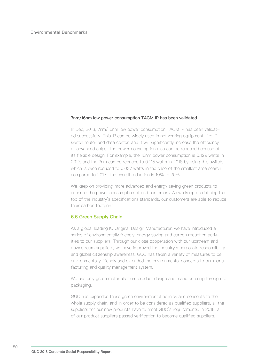#### 7nm/16nm low power consumption TACM IP has been validated

In Dec, 2018, 7nm/16nm low power consumption TACM IP has been validated successfully. This IP can be widely used in networking equipment, like IP switch router and data center, and it will significantly increase the efficiency of advanced chips. The power consumption also can be reduced because of its flexible design. For example, the 16nm power consumption is 0.129 watts in 2017, and the 7nm can be reduced to 0.115 watts in 2018 by using this switch, which is even reduced to 0.037 watts in the case of the smallest area search compared to 2017. The overall reduction is 10% to 70%.

We keep on providing more advanced and energy saving green products to enhance the power consumption of end customers. As we keep on defining the top of the industry's specifications standards, our customers are able to reduce their carbon footprint.

## **6.6 Green Supply Chain**

As a global leading IC Original Design Manufacturer, we have introduced a series of environmentally friendly, energy saving and carbon reduction activities to our suppliers. Through our close cooperation with our upstream and downstream suppliers, we have improved the industry's corporate responsibility and global citizenship awareness. GUC has taken a variety of measures to be environmentally friendly and extended the environmental concepts to our manufacturing and quality management system.

We use only green materials from product design and manufacturing through to packaging.

GUC has expanded these green environmental policies and concepts to the whole supply chain; and in order to be considered as qualified suppliers, all the suppliers for our new products have to meet GUC's requirements. In 2018, all of our product suppliers passed verification to become qualified suppliers.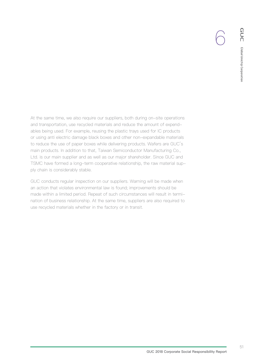At the same time, we also require our suppliers, both during on-site operations and transportation, use recycled materials and reduce the amount of expendables being used. For example, reusing the plastic trays used for IC products or using anti electric damage black boxes and other non-expandable materials to reduce the use of paper boxes while delivering products. Wafers are GUC's main products. In addition to that, Taiwan Semiconductor Manufacturing Co., Ltd. is our main supplier and as well as our major shareholder. Since GUC and TSMC have formed a long-term cooperative relationship, the raw material supply chain is considerably stable.

GUC conducts regular inspection on our suppliers. Warning will be made when an action that violates environmental law is found; improvements should be made within a limited period. Repeat of such circumstances will result in termination of business relationship. At the same time, suppliers are also required to use recycled materials whether in the factory or in transit.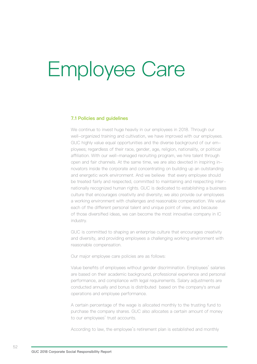# Employee Care

### **7.1 Policies and guidelines**

We continue to invest huge heavily in our employees in 2018. Through our well-organized training and cultivation, we have improved with our employees. GUC highly value equal opportunities and the diverse background of our employees; regardless of their race, gender, age, religion, nationality, or political affiliation. With our well-managed recruiting program, we hire talent through open and fair channels. At the same time, we are also devoted in inspiring innovators inside the corporate and concentrating on building up an outstanding and energetic work environment. And we believe that every employee should be treated fairly and respected, committed to maintaining and respecting internationally recognized human rights. GUC is dedicated to establishing a business culture that encourages creativity and diversity; we also provide our employees a working environment with challenges and reasonable compensation. We value each of the different personal talent and unique point of view, and because of those diversified ideas, we can become the most innovative company in IC industry.

GUC is committed to shaping an enterprise culture that encourages creativity and diversity, and providing employees a challenging working environment with reasonable compensation.

Our major employee care policies are as follows:

Value benefits of employees without gender discrimination. Employees' salaries are based on their academic background, professional experience and personal performance, and compliance with legal requirements. Salary adjustments are conducted annually and bonus is distributed based on the company's annual operations and employee performance.

A certain percentage of the wage is allocated monthly to the trusting fund to purchase the company shares. GUC also allocates a certain amount of money to our employees' trust accounts.

According to law, the employee's retirement plan is established and monthly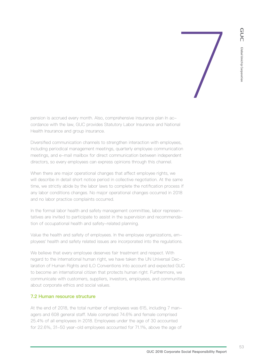

pension is accrued every month. Also, comprehensive insurance plan In accordance with the law, GUC provides Statutory Labor Insurance and National Health Insurance and group insurance.

Diversified communication channels to strengthen interaction with employees, including periodical management meetings, quarterly employee communication meetings, and e-mail mailbox for direct communication between independent directors, so every employees can express opinions through this channel.

When there are major operational changes that affect employee rights, we will describe in detail short notice period in collective negotiation. At the same time, we strictly abide by the labor laws to complete the notification process if any labor conditions changes. No major operational changes occurred in 2018 and no labor practice complaints occurred.

In the formal labor health and safety management committee, labor representatives are invited to participate to assist in the supervision and recommendation of occupational health and safety-related planning.

Value the health and safety of employees. In the employee organizations, employees' health and safety related issues are incorporated into the regulations.

We believe that every employee deserves fair treatment and respect. With regard to the international human right, we have taken the UN Universal Declaration of Human Rights and ILO Conventions into account and expected GUC to become an international citizen that protects human right. Furthermore, we communicate with customers, suppliers, investors, employees, and communities about corporate ethics and social values.

## **7.2 Human resource structure**

At the end of 2018, the total number of employees was 615, including 7 managers and 608 general staff. Male comprised 74.6% and female comprised 25.4% of all employees in 2018. Employees under the age of 30 accounted for 22.6%, 31-50 year-old employees accounted for 71.1%, above the age of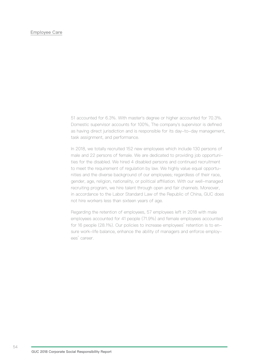## Employee Care

51 accounted for 6.3%. With master's degree or higher accounted for 70.3%. Domestic supervisor accounts for 100%, The company's supervisor is defined as having direct jurisdiction and is responsible for its day-to-day management, task assignment, and performance.

In 2018, we totally recruited 152 new employees which include 130 persons of male and 22 persons of female. We are dedicated to providing job opportunities for the disabled. We hired 4 disabled persons and continued recruitment to meet the requirement of regulation by law. We highly value equal opportunities and the diverse background of our employees; regardless of their race, gender, age, religion, nationality, or political affiliation. With our well-managed recruiting program, we hire talent through open and fair channels. Moreover, in accordance to the Labor Standard Law of the Republic of China, GUC does not hire workers less than sixteen years of age.

Regarding the retention of employees, 57 employees left in 2018 with male employees accounted for 41 people (71.9%) and female employees accounted for 16 people (28.1%). Our policies to increase employees' retention is to ensure work-life balance, enhance the ability of managers and enforce employees' career.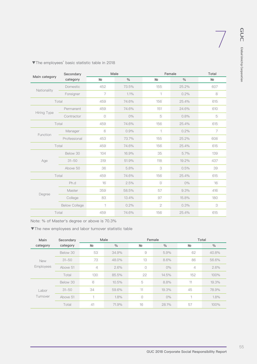|               | Secondary            | Male           |               | Female         | Total         |                            |
|---------------|----------------------|----------------|---------------|----------------|---------------|----------------------------|
| Main category | category             | N <sub>2</sub> | $\frac{0}{0}$ | N <sub>o</sub> | $\frac{0}{0}$ | N <sub>o</sub>             |
|               | Domestic             | 452            | 73.5%         | 155            | 25.2%         | 607                        |
| Nationality   | Foreigner            | $\overline{7}$ | 1.1%          | 1              | 0.2%          | 8                          |
|               | Total                | 459            | 74.6%         | 156            | 25.4%         | 615                        |
|               | Permanent            | 459            | 74.6%         | 151            | 24.6%         | 610                        |
| Hiring Type   | Contractor           | $\bigcirc$     | $0\%$         | 5              | 0.8%          | $\mathbf 5$                |
|               | Total                | 459            | 74.6%         | 156            | 25.4%         | 615                        |
| Function      | Manager              | 6              | 0.9%          | 1              | 0.2%          | $\overline{7}$             |
|               | Professional         | 453            | 73.7%         | 155            | 25.2%         | 608                        |
|               | Total                | 459            | 74.6%         | 156            | 25.4%         | 615                        |
|               | Below 30             | 104            | 16.9%         | 35             | 5.7%          | 139                        |
| Age           | $31 - 50$            | 319            | 51.9%         | 118            | 19.2%         | 437                        |
|               | Above 50             | 36             | 5.8%          | 3              | 0.5%          | 39                         |
|               | Total                | 459            | 74.6%         | 156            | 25.4%         | 615                        |
|               | Ph.d                 | 16             | 2.5%          | $\circ$        | $0\%$         | 16                         |
|               | Master               | 359            | 58.5%         | 57             | 9.3%          | 416                        |
| Degree        | College              | 83             | 13.4%         | 97             | 15.8%         | 180                        |
|               | <b>Below College</b> | 1              | 0.2%          | $\sqrt{2}$     | 0.3%          | $\ensuremath{\mathcal{S}}$ |
|               | Total                | 459            | 74.6%         | 156            | 25.4%         | 615                        |

▼The employees' basic statistic table in 2018

Note: % of Master's degree or above is 70.3%

▼The new employees and labor turnover statistic table

| Main<br>Secondary       |           | Male           |               | Female     |               | Total          |               |
|-------------------------|-----------|----------------|---------------|------------|---------------|----------------|---------------|
| category                | category  | N <sub>o</sub> | $\frac{0}{0}$ | N <u>o</u> | $\frac{0}{0}$ | No             | $\frac{0}{0}$ |
| <b>New</b><br>Employees | Below 30  | 53             | 34.9%         | $\Theta$   | 5.9%          | 62             | 40.8%         |
|                         | $31 - 50$ | 73             | 48.0%         | 13         | 8.6%          | 86             | 56.6%         |
|                         | Above 51  | $\overline{4}$ | 2.6%          | 0          | $0\%$         | $\overline{4}$ | 2.6%          |
|                         | Total     | 130            | 85.5%         | 22         | 14.5%         | 152            | 100%          |
|                         | Below 30  | 6              | 10.5%         | 5          | 8.8%          | 11             | 19.3%         |
| Labor<br>Turnover       | $31 - 50$ | 34             | 59.6%         | 11         | 19.3%         | 45             | 78.9%         |
|                         | Above 51  | $\mathbf{1}$   | 1.8%          | $\circ$    | $0\%$         | $\overline{A}$ | 1.8%          |
|                         | Total     | 41             | 71.9%         | 16         | 28.1%         | 57             | 100%          |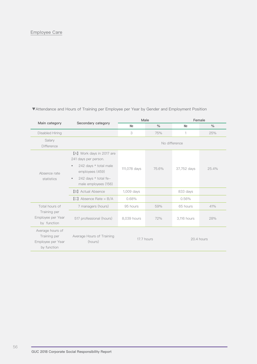|                                                                      |                                                                                                            |              | Male          | Female        |               |  |
|----------------------------------------------------------------------|------------------------------------------------------------------------------------------------------------|--------------|---------------|---------------|---------------|--|
| Main category                                                        | Secondary category                                                                                         | No           | $\frac{0}{0}$ | <b>No</b>     | $\frac{0}{0}$ |  |
| Disabled Hiring                                                      |                                                                                                            | 3            | 75%           | 1             | 25%           |  |
| Salary<br>Difference                                                 |                                                                                                            |              |               | No difference |               |  |
|                                                                      | [A] Work days in 2017 are<br>241 days per person.<br>242 days * total male<br>$\bullet$<br>employees (459) | 111,078 days | 75.6%         | 37,752 days   | 25.4%         |  |
| Absence rate<br>statistics                                           | 242 days * total fe-<br>$\bullet$<br>male employees (156)                                                  |              |               |               |               |  |
|                                                                      | <b>[B]</b> Actual Absence                                                                                  | 1,009 days   |               | 833 days      |               |  |
|                                                                      | $[C]$ Absence Rate = B/A                                                                                   | 0.68%        |               | 0.56%         |               |  |
| Total hours of                                                       | 7 managers (hours)                                                                                         | 95 hours     | 59%           | 65 hours      | 41%           |  |
| Training per<br>Employee per Year<br>by function                     | 517 professional (hours)                                                                                   | 8,039 hours  | 72%           | 3,116 hours   | 28%           |  |
| Average hours of<br>Training per<br>Employee per Year<br>by function | Average Hours of Training<br>(hours)                                                                       |              | 17.7 hours    |               | 20.4 hours    |  |

▼Attendance and Hours of Training per Employee per Year by Gender and Employment Position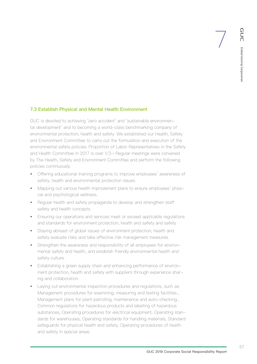## **7.3 Establish Physical and Mental Health Environment**

GUC is devoted to achieving 'zero accident' and 'sustainable environmental development' and to becoming a world-class benchmarking company of environmental protection, health and safety. We established our Health, Safety and Environment Committee to carry out the formulation and execution of the environmental safety policies. Proportion of Labor Representatives in the Safety and Health Committee in 2017 is over 1/3。Regular meetings were convened by The Health, Safety and Environment Committee and perform the following policies continuously.

- Offering educational training programs to improve employees' awareness of safety, health and environmental protection issues.
- Mapping out various health improvement plans to ensure employees' physical and psychological wellness.
- Regular health and safety propaganda to develop and strengthen staff safety and health concepts.
- Ensuring our operations and services meet or exceed applicable regulations and standards for environment protection, health and safety and safety.
- Staying abreast of global issues of environment protection, health and safety evaluate risks and take effective risk management measures.
- Strengthen the awareness and responsibility of all employees for environmental safety and health, and establish friendly environmental health and safety culture.
- Establishing a green supply chain and enhancing performance of environment protection, health and safety with suppliers through experience sharing and collaboration.
- Laying out environmental inspection procedures and regulations, such as: Management procedures for examining, measuring and testing facilities , Management plans for plant patrolling, maintenance and auto-checking., Common regulations for hazardous products and labelling of hazardous substances, Operating procedures for electrical equipment, Operating standards for warehouses, Operating standards for handling materials, Standard safeguards for physical health and safety, Operating procedures of health and safety in special areas.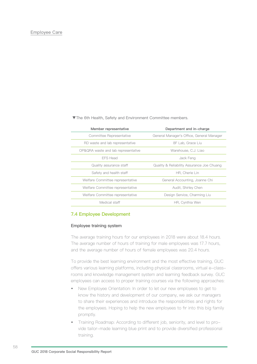▼The 6th Health, Safety and Environment Committee members.

| Department and in-charge                   |
|--------------------------------------------|
| General Manager's Office, General Manager  |
| 8F Lab, Grace Liu                          |
| Warehouse, C.J. Liao                       |
| Jack Feng                                  |
| Quality & Reliability Assurance Joe Chuang |
| HR. Cherie Lin                             |
| General Accounting, Joanne Chi             |
| Audit, Shirley Chen                        |
| Design Service, Charming Liu               |
| HR, Cynthia Wen                            |
|                                            |

## **7.4 Employee Development**

### Employee training system

The average training hours for our employees in 2018 were about 18.4 hours. The average number of hours of training for male employees was 17.7 hours, and the average number of hours of female employees was 20.4 hours.

To provide the best learning environment and the most effective training, GUC offers various learning platforms, including physical classrooms, virtual e-classrooms and knowledge management system and learning feedback survey. GUC employees can access to proper training courses via the following approaches:

- New Employee Orientation: In order to let our new employees to get to know the history and development of our company, we ask our managers to share their experiences and introduce the responsibilities and rights for the employees. Hoping to help the new employees to fir into this big family promptly.
- Training Roadmap: According to different job, seniority, and level to provide tailor-made learning blue print and to provide diversified professional training.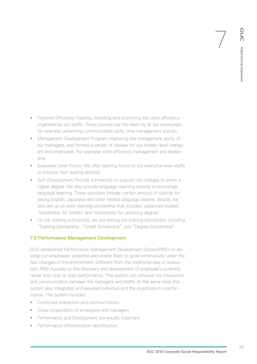- Personal Efficiency Training: Assisting and promoting the class efficiency organized by our staffs. These courses can be taken by all our employees: for example: enhancing communication skills, time management and etc.
- Management Development Program: Improving the management ability of our managers, and formed a variety of classes for our middle-level managers and employees. For example: work efficiency management and leadership.
- Executive Level Forum: We offer learning forum to our executive level staffs to improve their leading abilities.
- Self-Development: Provide scholarship to support our colleges to attain a higher degree. We also provide language-learning subsidy to encourage language learning. These subsidies include: certain amount of subsidy for taking English, Japanese and other related language lessons. Beside, we also set up on work learning scholarship that includes 'advanced studies', 'scholarship for credits' and 'scholarship for obtaining degree'.
- On job training scholarship: we are setting job training scholarship including "Training Scholarship:, "Credit Scholarship", and "Degree Scholarship".

## **7.5 Performance Management Development**

GUC established Performance Management Development System(PMD) to develop our employees' potential and enable them to grow continuously under the fast changes of the environment. Different from the traditional way of evaluation, PMD focuses on the discovery and development of employee's potential, rather than only on past performance. This system can enhance the interaction and communication between the managers and staffs. At the same time, this system also integrated and elevated individual and the organization's performance. The system includes:

- Continued interaction and communication
- Close cooperation of employees and managers
- Performance and Development are equally important
- Performance differentiation identification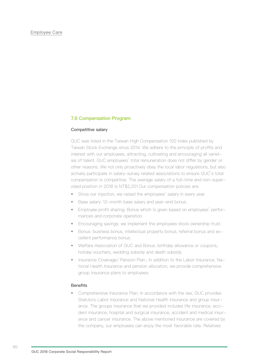## **7.6 Compensation Program**

#### Competitive salary

GUC was listed in the Taiwan High Compensation 100 Index published by Taiwan Stock Exchange since 2014. We adhere to the principle of profits and interest with our employees, attracting, cultivating and encouraging all varieties of talent. GUC employees' total remuneration does not differ by gender or other reasons. We not only proactively obey the local labor regulations, but also actively participate in salary-survey related associations to ensure GUC's total compensation is competitive. The average salary of a full-time and non-supervised position in 2018 is NT\$2,201.Our compensation policies are:

- Since our injection, we raised the employees' salary in every year.
- Base salary: 12-month base salary and year-end bonus.
- Employee profit sharing: Bonus which is given based on employees' performances and corporate operation.
- Encouraging savings: we implement the employees stock ownership trust.
- Bonus: business bonus, intellectual property bonus, referral bonus and excellent performance bonus.
- Welfare Association of GUC and Bonus: birthday allowance or coupons, holiday vouchers, wedding subsidy and death subsidy.
- Insurance Coverage/ Pension Plan,: In addition to the Labor Insurance, National Health Insurance and pension allocation, we provide comprehensive group insurance plans to employees.

#### **Benefits**

• Comprehensive Insurance Plan: In accordance with the law, GUC provides Statutory Labor Insurance and National Health Insurance and group insurance. The groups insurance that we provided includes life insurance, accident insurance, hospital and surgical insurance, accident and medical insurance and cancer insurance. The above mentioned insurance are covered by the company, our employees can enjoy the most favorable rate. Relatives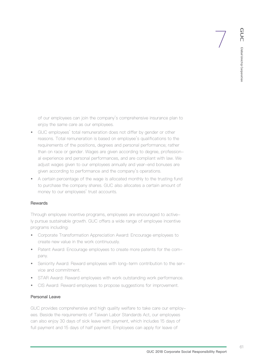of our employees can join the company's comprehensive insurance plan to enjoy the same care as our employees.

- GUC employees' total remuneration does not differ by gender or other reasons. Total remuneration is based on employee's qualifications to the requirements of the positions, degrees and personal performance; rather than on race or gender. Wages are given according to degree, professional experience and personal performances, and are compliant with law. We adjust wages given to our employees annually and year-end bonuses are given according to performance and the company's operations.
- A certain percentage of the wage is allocated monthly to the trusting fund to purchase the company shares. GUC also allocates a certain amount of money to our employees' trust accounts.

#### Rewards

Through employee incentive programs, employees are encouraged to actively pursue sustainable growth. GUC offers a wide range of employee incentive programs including:

- Corporate Transformation Appreciation Award: Encourage employees to create new value in the work continuously.
- Patent Award: Encourage employees to create more patents for the company.
- Seniority Award: Reward employees with long-term contribution to the service and commitment.
- STAR Award: Reward employees with work outstanding work performance.
- CIS Award: Reward employees to propose suggestions for improvement.

## Personal Leave

GUC provides comprehensive and high quality welfare to take care our employees. Beside the requirements of Taiwan Labor Standards Act, our employees can also enjoy 30 days of sick leave with payment, which includes 15 days of full payment and 15 days of half payment. Employees can apply for leave of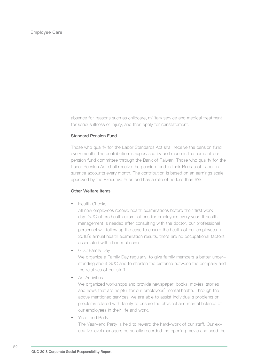absence for reasons such as childcare, military service and medical treatment for serious illness or injury, and then apply for reinstatement.

## Standard Pension Fund

Those who qualify for the Labor Standards Act shall receive the pension fund every month. The contribution is supervised by and made in the name of our pension fund committee through the Bank of Taiwan. Those who qualify for the Labor Pension Act shall receive the pension fund in their Bureau of Labor Insurance accounts every month. The contribution is based on an earnings scale approved by the Executive Yuan and has a rate of no less than 6%.

### Other Welfare Items

• Health Checks

All new employees receive health examinations before their first work day. GUC offers health examinations for employees every year. If health management is needed after consulting with the doctor, our professional personnel will follow up the case to ensure the health of our employees. In 2018's annual health examination results, there are no occupational factors associated with abnormal cases.

• GUC Family Day

We organize a Family Day regularly, to give family members a better understanding about GUC and to shorten the distance between the company and the relatives of our staff.

• Art Activities

We organized workshops and provide newspaper, books, movies, stories and news that are helpful for our employees' mental health. Through the above mentioned services, we are able to assist individual's problems or problems related with family to ensure the physical and mental balance of our employees in their life and work.

Year-end Party.

The Year-end Party is held to reward the hard-work of our staff. Our executive level managers personally recorded the opening movie and used the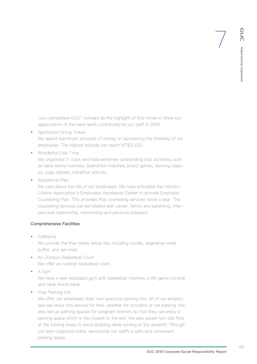'you-completed-GUC' concept as the highlight of this movie to show our appreciation of the hard-work contributed by our staff in 2018.

- Sponsored Group Travel We spend significant amounts of money on sponsoring the traveling of our employees. The highest subsidy can reach NT\$12,000.
- Wonderful Club Time

We organized 11 clubs and held extremely outstanding club activities; such as table tennis matches, badminton matches, board games, dancing classes, yoga classes, marathon and etc.

• Assistance Plan

We care about the life of our employees. We have entrusted the Hsinchu Lifeline Association's Employees Assistance Center to provide Employee Counseling Plan. This provides free counseling services twice a year. The counseling services can be related with career, family and parenting, interpersonal relationship, relationship and personal pressure.

## Comprehensive Facilities

• Cafeteria

We provide the free meals whole day including noodle, vegetarian meal, buffet, and set meal.

- An Outdoor Basketball Court We offer an outdoor basketball court.
- A Gym

We have a well-equipped gym with basketball machine, a Wii game console and table tennis table.

• Free Parking lots

We offer our employees their own spacious parking lots. All of our employees can enjoy this service for free, whether for scooters or car parking. We also set up parking spaces for pregnant women, so that they can enjoy a parking space which is the closest to the exit. We also paved non-slip floor at the turning areas to avoid skidding while turning at the downhill. Through our well-organized plans, we provide our staffs a safe and convenient parking space.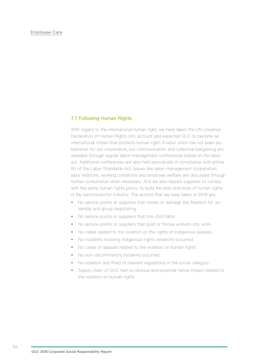### Employee Care

#### **7.7 Following Human Rights**

With regard to the international human right, we have taken the UN Universal Declaration of Human Rights into account and expected GUC to become an international citizen that protects human right. A labor union has not been established for our corporation, but communication and collective bargaining are available through regular labor-management conferences based on the labor act. Additional conferences are also held periodically in compliance with article 83 of the Labor Standards Act. Issues like labor-management cooperation, labor relations, working conditions and employee welfare are discussed through further consultation when necessary. And we also require suppliers to comply with the same human rights policy, to build the best practices of human rights in the semiconductor industry. The actions that we have taken in 2018 are:

- No service points or suppliers that violate or damage the freedom for assembly and group negotiating.
- No service points or suppliers that hire child labor.
- No service points or suppliers that push or forces workers into work.
- No cases related to the violation on the rights of indigenous peoples.
- No incidents involving indigenous rights violations occurred.
- No cases or appeals related to the violation on human rights.
- No non-discriminatory incidents occurred.
- No violation and fined of relevant regulations in the social category.
- Supply chain of GUC had no obvious and potential native impact related to the violation on human rights.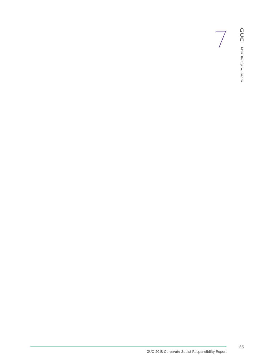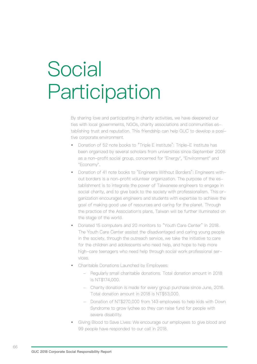# **Social Participation**

By sharing love and participating in charity activities, we have deepened our ties with local governments, NGOs, charity associations and communities establishing trust and reputation. This friendship can help GUC to develop a positive corporate environment.

- Donation of 52 note books to "Triple E Institute": Triple-E Institute has been organized by several scholars from universities since September 2008 as a non-profit social group, concerned for "Energy", "Environment" and "Economy".
- Donation of 41 note books to "Engineers Without Borders": Engineers without borders is a non-profit volunteer organization. The purpose of the establishment is to integrate the power of Taiwanese engineers to engage in social charity, and to give back to the society with professionalism. This organization encourages engineers and students with expertise to achieve the goal of making good use of resources and caring for the planet. Through the practice of the Association's plans, Taiwan will be further illuminated on the stage of the world.
- Donated 15 computers and 20 monitors to "Youth Care Center" in 2018. The Youth Care Center assisst the disadvantaged and caring young people in the society, through the outreach service, we take the initiative to care for the children and adolescents who need help, and hope to help more high-care teenagers who need help through social work professional services.
- Charitable Donations Launched by Employees:
	- Regularly small charitable donations. Total donation amount in 2018 is NT\$174,000.
	- Charity donation is made for every group purchase since June, 2016. Total donation amount in 2018 is NT\$53,000.
	- Donation of NT\$270,000 from 143 employees to help kids with Down Syndrome to grow lychee so they can raise fund for people with severe disability.
- Giving Blood to Save Lives: We encourage our employees to give blood and 99 people have responded to our call in 2018.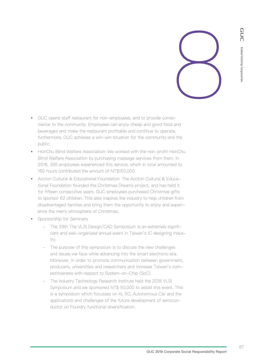

- GUC opens staff restaurant for non-employees, and to provide convenience to the community. Employees can enjoy cheap and good food and beverages and make the restaurant profitable and continue to operate, furthermore, GUC achieves a win-win situation for the community and the public.
- HsinChu Blind Welfare Association: We worked with the non-profit HsinChu Blind Welfare Association by purchasing massage services from them. In 2018, 365 employees experienced this service, which in total amounted to 169 hours contributed the amount of NT\$150,000.
- Accton Cultural & Educational Foundation: The Accton Cultural & Educational Foundation founded the Christmas Dreams project, and has held it for fifteen consecutive years. GUC employees purchased Christmas gifts to sponsor 62 children. This also inspires the industry to help children from disadvantaged families and bring them the opportunity to enjoy and experience the merry atmosphere of Christmas.
- Sponsorship for Seminars
	- The 29th The VLSI Design/CAD Symposium is an extremely significant and well-organized annual event in Taiwan's IC designing industry.
	- The purpose of this symposium is to discuss the new challenges and issues we face while advancing into the smart electronic era. Moreover, in order to promote communication between government, producers, universities and researchers and increase Taiwan's competitiveness with respect to System-on-Chip (SoC).
	- The Industry Technology Research Institute held the 2018 VLSI Symposium and we sponsored NT\$ 50,000 to assist this event. This is a symposium which focusses on AI, 5G, Autonomous Car and the applications and challenges of the future development of semiconductor on Foundry functional diversification.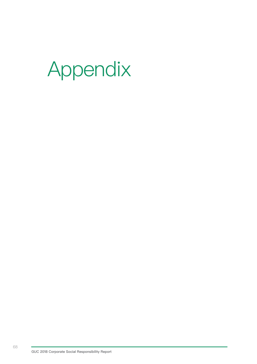# Appendix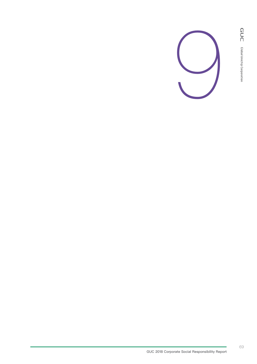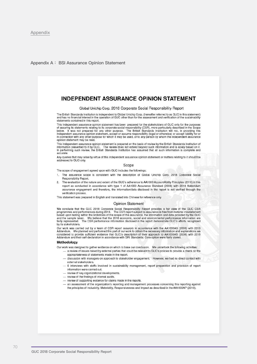Appendix A: BSI Assurance Opinion Statement

## **INDEPENDENT ASSURANCE OPINION STATEMENT**

#### Global Unichip Corp. 2018 Corporate Social Responsibility Report

The British Standards Institution is independent to Global Unichip Corp. (hereafter referred to as GUC in this statement) and has no financial interest in the operation of GUC other than for the assessment and verification of the sustainability<br>statements contained in this report.

This independent assurance opinion statement has been prepared for the stakeholders of GUC only for the purposes This independent assurance opinion statement has been prepared for the statements relating to the purposes of assuring its statements relating to its corporate social responsibility (CSR), more particularly described in th in connection with any other purpose for which it may be used, or to any person by whom the independent assurance opinion statement may be read.

This independent assurance opinion statement is prepared on the basis of review by the British Standards Institution of information presented to it by GUC. The review does not extend beyond such information and is solely b In performing such review, the British Standards Institution has assumed that all such information is complete and accurate

Any queries that may arise by virtue of this independent assurance opinion statement or matters relating to it should be addressed to GUC only.

#### Scope

The scope of engagement agreed upon with GUC includes the followings:

- 1. The assurance scope is consistent with the description of Global Unichip Corp. 2018 Corporate Social Responsibility Report.
- 2. The evaluation of the nature and extent of the GUC's adherence to AA1000 AccountAbility Principles (2018) in this report as conducted in accordance with type 1 of AA1000 Assurance Standard (2008) with 2018 Addendum assurance engagement and therefore, the information/data disclosed in the report is not verified through the verification process

This statement was prepared in English and translated into Chinese for reference only.

#### **Opinion Statement**

We conclude that the GUC 2018 Corporate Social Responsibility Report provides a fair view of the GUC CSR reconciliated and performances during 2018. The CSR report subject to assurance is free from material misstatement<br>based upon testing within the limitations of the scope of the assurance, the information and data provided and the sample taken. We believe that the 2018 economic, social and environmental performance information are fairly represented. The CSR performance information disclosed in the report demonstrate GUC's efforts recognized by its stakeholders.

Our work was carried out by a team of CSR report assurors in accordance with the AA1000AS (2008) with 2018 Addendum. We planned and performed this part of our work to obtain the necessary information and explanations we considered to provide sufficient evidence that GUC's description of their approach to AA1000AS (2008) with 20

#### Methodology

Our work was designed to gather evidence on which to base our conclusion. We undertook the following activities:

- a review of issues raised by external parties that could be relevant to GUC's policies to provide a check on the appropriateness of statements made in the report.
- discussion with managers on approach to stakeholder engagement. However, we had no direct contact with external stakeholders.
- 6 interviews with staffs involved in sustainability management, report preparation and provision of report information were carried out.
- review of key organizational developments.
- review of the findings of internal audits.
- review of supporting evidence for claims made in the reports.
- an assessment of the organization's reporting and management processes concerning this reporting against the principles of Inclusivity, Materiality, Responsiveness and Impact as described in the AA1000AP (2018).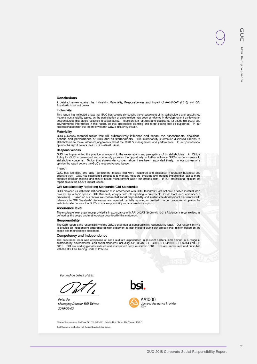### **Conclusions**

A detailed review against the Inclusivity, Materiality, Responsiveness and Impact of AA1000AP (2018) and GRI<br>Standards is set out below:

#### Inclusivity

This report has reflected a fact that GUC has continually sought the engagement of its stakeholders and established This report has reflected a fact that GUC has continually sought the engagement of its stakeholders and established<br>material sustainability topics, as the participation of stakeholders has been conducted in developing and

#### **Materiality**

Matrician material topics that will substantively influence and impact the assessments, decisions, actions and performance of GUC and its stakeholders. The sustainability information disclosed enables its stakeholders to m

#### **Responsiveness**

GUC has implemented the practice to respond to the expectations and perceptions of its stakeholders. An Ethical Policy for GUC is developed and continually provides the opportunity to further enhance GUC's responsiveness to stakeholder concerns. Topics that stakeholder concerns about have been responded timely. In our professional opinion the report covers the GUC's responsiveness issues.

### Impact

GUC has Identified and fairly represented impacts that were measured and disclosed in probably balanced and effective way. GUC has established processes to monitor, measure, evaluate and manage impacts that lead to more ef

### **GRI Sustainability Reporting Standards (GRI Standards)**

GUC provided us with their self-declaration of in accordance with GRI Standards: Core option (For each material topic GUC provided us with their self-declaration of in accordance with GHI Standards: Core option (For each material topic<br>covered by a topic-specific GRI Standard, comply with all reporting requirements for at least one topic-

#### Assurance level

The moderate level assurance provided is in accordance with AA1000AS (2008) with 2018 Addendum in our review, as defined by the scope and methodology described in this statement.

#### Responsibility

The CSR report is the responsibility of the GUC's chairman as declared in his responsibility letter. Our responsibility is to provide an independent assurance opinion statement to stakeholders giving our professional opinion based on the scope and methodology described.

#### **Competency and Independence**

The assurance team was composed of Lead auditors experienced in relevant sectors, and trained in a range of sustainability, environmental and social standards including AA1000AS, ISO 14001, ISO 45001, ISO 14064 and ISO 900

For and on behalf of BSI:

Peter Pu Managing Director BSI Taiwan 2019-06-03



Licensed Assurance Provider  $000 - 4$ 

Taiwan Headquarters: 5th Floor, No. 39, Ji-Hu Rd., Nei-Hu Dist., Taipei 114, Taiwan, R.O.C. BSI Taiwan is a subsidiary of British Standards Institution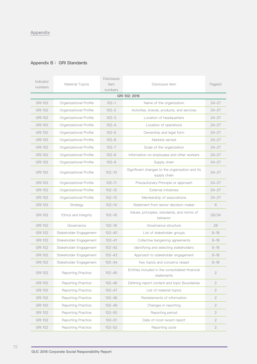# Appendix

# Appendix B: GRI Standards

| Indicator<br>numbers | <b>Material Topics</b>    | Disclosure<br>Item<br>numbers | Disclosure Item                                                 | Page(s)        |
|----------------------|---------------------------|-------------------------------|-----------------------------------------------------------------|----------------|
|                      |                           |                               | GRI 102: 2016                                                   |                |
| <b>GRI 102</b>       | Organizational Profile    | $102 - 1$                     | Name of the organization                                        | $24 - 27$      |
| <b>GRI 102</b>       | Organizational Profile    | $102 - 2$                     | Activities, brands, products, and services                      | $24 - 27$      |
| <b>GRI 102</b>       | Organizational Profile    | $102 - 3$                     | Location of headquarters                                        | $24 - 27$      |
| <b>GRI 102</b>       | Organizational Profile    | $102 - 4$                     | Location of operations                                          | $24 - 27$      |
| <b>GRI 102</b>       | Organizational Profile    | $102 - 5$                     | Ownership and legal form                                        | $24 - 27$      |
| <b>GRI 102</b>       | Organizational Profile    | $102 - 6$                     | Markets served                                                  | $24 - 27$      |
| <b>GRI 102</b>       | Organizational Profile    | $102 - 7$                     | Scale of the organization                                       | $24 - 27$      |
| <b>GRI 102</b>       | Organizational Profile    | $102 - 8$                     | Information on employees and other workers                      | $24 - 27$      |
| <b>GRI 102</b>       | Organizational Profile    | $102 - 9$                     | Supply chain                                                    | $24 - 27$      |
| <b>GRI 102</b>       | Organizational Profile    | $102 - 10$                    | Significant changes to the organization and its<br>supply chain | $24 - 27$      |
| <b>GRI 102</b>       | Organizational Profile    | $102 - 11$                    | Precautionary Principle or approach                             | $24 - 27$      |
| <b>GRI 102</b>       | Organizational Profile    | $102 - 12$                    | <b>External initiatives</b>                                     | $24 - 27$      |
| <b>GRI 102</b>       | Organizational Profile    | $102 - 13$                    | Membership of associations                                      | $24 - 27$      |
| <b>GRI 102</b>       | Strategy                  | $102 - 14$                    | Statement from senior decision-maker                            | 6              |
| <b>GRI 102</b>       | Ethics and Integrity      | $102 - 16$                    | Values, principles, standards, and norms of<br>behavior         | 28/34          |
| <b>GRI 102</b>       | Governance                | $102 - 18$                    | Governance structure                                            | 28             |
| <b>GRI 102</b>       | Stakeholder Engagement    | $102 - 40$                    | List of stakeholder groups                                      | $9 - 18$       |
| <b>GRI 102</b>       | Stakeholder Engagement    | $102 - 41$                    | Collective bargaining agreements                                | $9 - 18$       |
| <b>GRI 102</b>       | Stakeholder Engagement    | $102 - 42$                    | Identifying and selecting stakeholders                          | $9 - 18$       |
| <b>GRI 102</b>       | Stakeholder Engagement    | $102 - 43$                    | Approach to stakeholder engagement                              | $9 - 18$       |
| <b>GRI 102</b>       | Stakeholder Engagement    | $102 - 44$                    | Key topics and concerns raised                                  | $9 - 18$       |
| <b>GRI 102</b>       | Reporting Practice        | $102 - 45$                    | Entities included in the consolidated financial<br>statements   | $\mathbf{2}$   |
| <b>GRI 102</b>       | <b>Reporting Practice</b> | $102 - 46$                    | Defining report content and topic Boundaries                    | $\mathbf{2}$   |
| <b>GRI 102</b>       | Reporting Practice        | $102 - 47$                    | List of material topics                                         | $\mathbf{2}$   |
| <b>GRI 102</b>       | Reporting Practice        | $102 - 48$                    | Restatements of information                                     | $\sqrt{2}$     |
| <b>GRI 102</b>       | Reporting Practice        | $102 - 49$                    | Changes in reporting                                            | $\mathbf{2}$   |
| <b>GRI 102</b>       | Reporting Practice        | $102 - 50$                    | Reporting period                                                | $\mathbf{2}$   |
| <b>GRI 102</b>       | <b>Reporting Practice</b> | $102 - 51$                    | Date of most recent report                                      | $\mathbf{2}$   |
| <b>GRI 102</b>       | Reporting Practice        | $102 - 52$                    | Reporting cycle                                                 | $\overline{2}$ |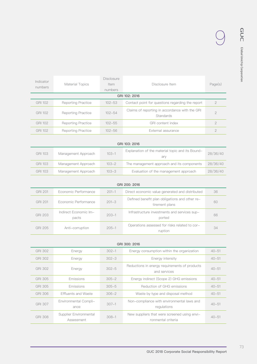9

| Indicator<br>numbers | Material Topics           | <b>Disclosure</b><br>Item<br>numbers | Disclosure Item                                             | Page(s)        |
|----------------------|---------------------------|--------------------------------------|-------------------------------------------------------------|----------------|
| GRI 102: 2016        |                           |                                      |                                                             |                |
| GRI 102              | <b>Reporting Practice</b> | $102 - 53$                           | Contact point for questions regarding the report            | 2              |
| <b>GRI 102</b>       | <b>Reporting Practice</b> | $102 - 54$                           | Claims of reporting in accordance with the GRI<br>Standards | $\overline{c}$ |
| <b>GRI 102</b>       | <b>Reporting Practice</b> | $102 - 55$                           | GRI content index                                           | $\overline{c}$ |
| <b>GRI 102</b>       | <b>Reporting Practice</b> | $102 - 56$                           | External assurance                                          | $\mathcal{P}$  |
|                      |                           |                                      |                                                             |                |

| GRI 103: 2016 |                     |           |                                                         |          |  |
|---------------|---------------------|-----------|---------------------------------------------------------|----------|--|
| GRI 103       | Management Approach | $103 - 1$ | Explanation of the material topic and its Bound-<br>ary | 28/36/40 |  |
| GRI 103       | Management Approach | $103 - 2$ | The management approach and its components              | 28/36/40 |  |
| GRI 103       | Management Approach | $103 - 3$ | Evaluation of the management approach                   | 28/36/40 |  |

| GRI 200: 2016 |                                |           |                                                                  |    |  |
|---------------|--------------------------------|-----------|------------------------------------------------------------------|----|--|
| GRI 201       | Economic Performance           | $201 - 1$ | Direct economic value generated and distributed                  | 36 |  |
| GRI 201       | Economic Performance           | $201 - 3$ | Defined benefit plan obligations and other re-<br>tirement plans | 60 |  |
| GRI 203       | Indirect Economic Im-<br>pacts | $203 - 1$ | Infrastructure investments and services sup-<br>ported           | 66 |  |
| GRI 205       | Anti-corruption                | $205 - 1$ | Operations assessed for risks related to cor-<br>ruption         | 34 |  |

| GRI 300: 2016  |                                      |           |                                                                    |           |
|----------------|--------------------------------------|-----------|--------------------------------------------------------------------|-----------|
| GRI 302        | Energy                               | $302 - 1$ | Energy consumption within the organization                         | $40 - 51$ |
| GRI 302        | Energy                               | $302 - 3$ | Energy intensity                                                   | $40 - 51$ |
| GRI 302        | Energy                               | $302 - 5$ | Reductions in energy requirements of products<br>and services      | $40 - 51$ |
| GRI 305        | Emissions                            | $305 - 2$ | Energy indirect (Scope 2) GHG emissions                            | $40 - 51$ |
| GRI 305        | Emissions                            | $305 - 5$ | Reduction of GHG emissions                                         | $40 - 51$ |
| GRI 306        | Effluents and Waste                  | $306 - 2$ | Waste by type and disposal method                                  | $40 - 51$ |
| GRI 307        | Environmental Compli-<br>ance        | $307 - 1$ | Non-compliance with environmental laws and<br>requlations          | $40 - 51$ |
| <b>GRI 308</b> | Supplier Environmental<br>Assessment | $308 - 1$ | New suppliers that were screened using envi-<br>ronmental criteria | $40 - 51$ |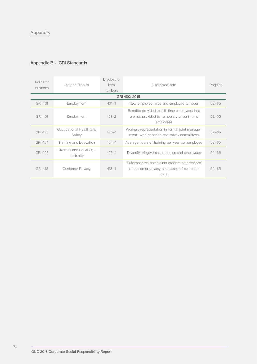# Appendix

# Appendix B: GRI Standards

| Indicator<br>numbers | Material Topics                      | <b>Disclosure</b><br>Item<br>numbers | Disclosure Item                                                                                          | Page(s)   |
|----------------------|--------------------------------------|--------------------------------------|----------------------------------------------------------------------------------------------------------|-----------|
|                      |                                      |                                      | GRI 400: 2016                                                                                            |           |
| GRI 401              | Employment                           | $401 - 1$                            | New employee hires and employee turnover                                                                 | $52 - 65$ |
| GRI 401              | Employment                           | $401 - 2$                            | Benefits provided to full-time employees that<br>are not provided to temporary or part-time<br>employees | $52 - 65$ |
| GRI 403              | Occupational Health and<br>Safety    | $403 - 1$                            | Workers representation in formal joint manage-<br>ment-worker health and safety committees               | $52 - 65$ |
| <b>GRI 404</b>       | Training and Education               | $404 - 1$                            | Average hours of training per year per employee                                                          | $52 - 65$ |
| GRI 405              | Diversity and Equal Op-<br>portunity | $405 - 1$                            | Diversity of governance bodies and employees                                                             | $52 - 65$ |
| <b>GRI 418</b>       | Customer Privacy                     | $418 - 1$                            | Substantiated complaints concerning breaches<br>of customer privacy and losses of customer<br>data       | $52 - 65$ |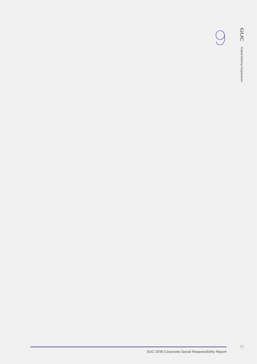